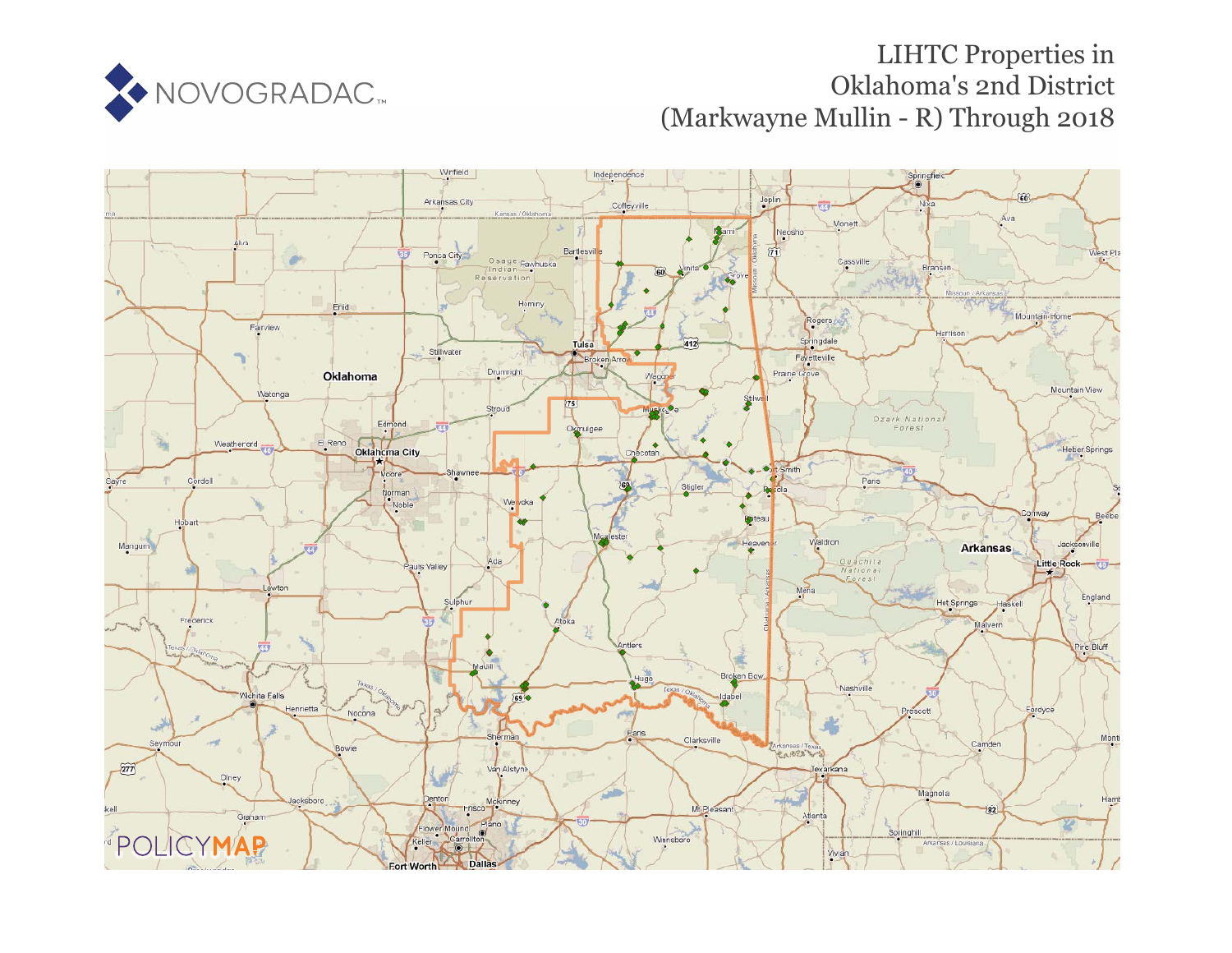

# LIHTC Properties in Oklahoma's 2nd District (Markwayne Mullin - R) Through 2018

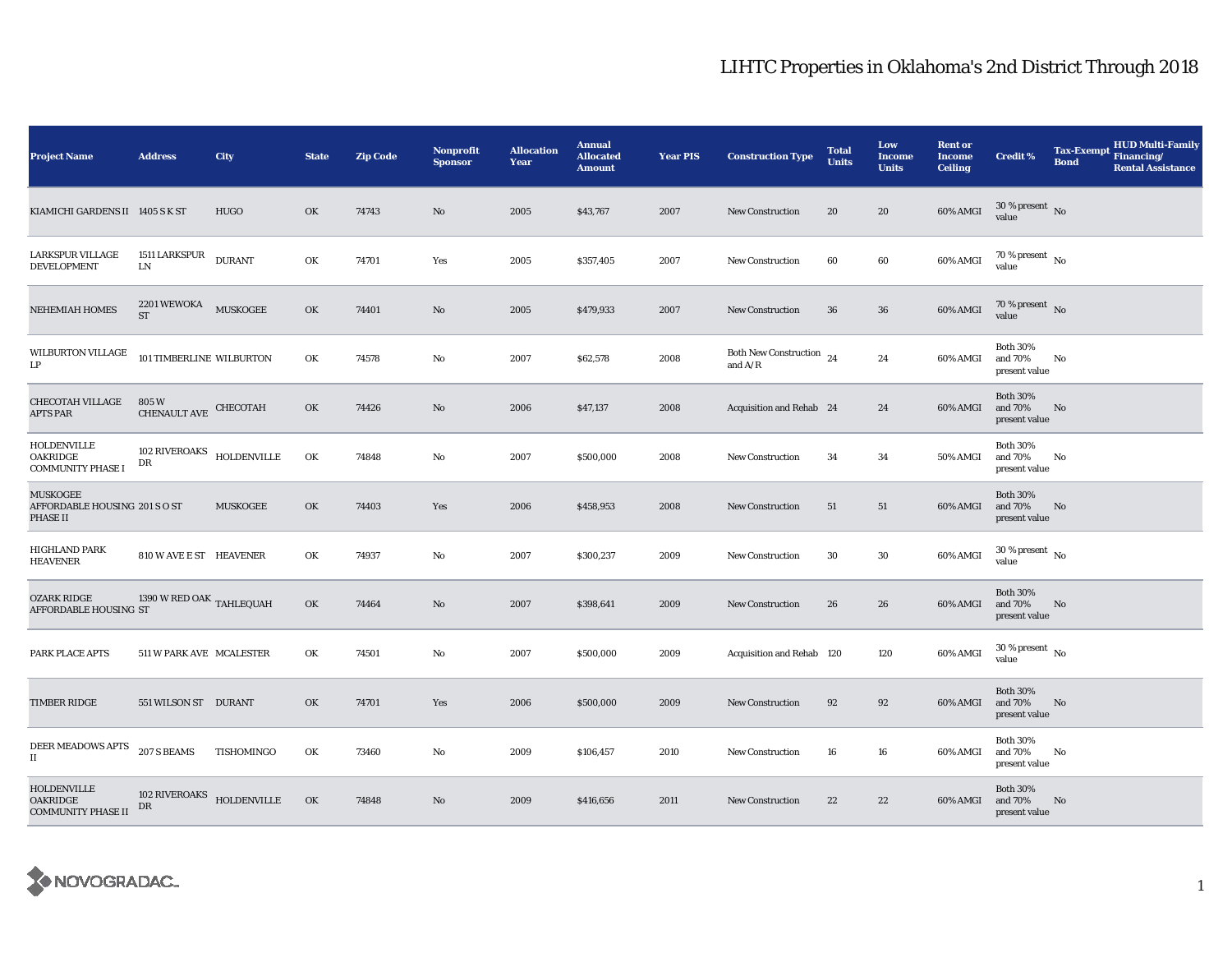| <b>Project Name</b>                                          | <b>Address</b>                              | City                         | <b>State</b> | <b>Zip Code</b> | Nonprofit<br><b>Sponsor</b> | <b>Allocation</b><br>Year | <b>Annual</b><br><b>Allocated</b><br><b>Amount</b> | <b>Year PIS</b> | <b>Construction Type</b>                                                               | <b>Total</b><br><b>Units</b> | Low<br>Income<br><b>Units</b> | <b>Rent or</b><br><b>Income</b><br><b>Ceiling</b> | <b>Credit %</b>                             | <b>Tax-Exempt</b><br><b>Bond</b> | <b>HUD Multi-Family</b><br>Financing/<br><b>Rental Assistance</b> |
|--------------------------------------------------------------|---------------------------------------------|------------------------------|--------------|-----------------|-----------------------------|---------------------------|----------------------------------------------------|-----------------|----------------------------------------------------------------------------------------|------------------------------|-------------------------------|---------------------------------------------------|---------------------------------------------|----------------------------------|-------------------------------------------------------------------|
| KIAMICHI GARDENS II 1405 S K ST                              |                                             | <b>HUGO</b>                  | OK           | 74743           | $\mathbf{N}\mathbf{o}$      | 2005                      | \$43,767                                           | 2007            | New Construction                                                                       | 20                           | 20                            | 60% AMGI                                          | $30$ % present $\,$ No $\,$<br>value        |                                  |                                                                   |
| LARKSPUR VILLAGE<br><b>DEVELOPMENT</b>                       | 1511 LARKSPUR<br>LN.                        | <b>DURANT</b>                | OK           | 74701           | Yes                         | 2005                      | \$357,405                                          | 2007            | New Construction                                                                       | 60                           | 60                            | 60% AMGI                                          | 70 % present $\hbox{~No}$<br>value          |                                  |                                                                   |
| NEHEMIAH HOMES                                               | $2201\,\mbox{WEWOKA}$ MUSKOGEE<br><b>ST</b> |                              | OK           | 74401           | No                          | 2005                      | \$479,933                                          | 2007            | <b>New Construction</b>                                                                | 36                           | 36                            | 60% AMGI                                          | 70 % present $\hbox{~No}$<br>value          |                                  |                                                                   |
| WILBURTON VILLAGE<br>LP                                      | 101 TIMBERLINE WILBURTON                    |                              | OK           | 74578           | No                          | 2007                      | \$62,578                                           | 2008            | Both New Construction $_{24}$<br>and $\ensuremath{\mathrm{A}}/\ensuremath{\mathrm{R}}$ |                              | 24                            | 60% AMGI                                          | <b>Both 30%</b><br>and 70%<br>present value | No                               |                                                                   |
| <b>CHECOTAH VILLAGE</b><br><b>APTS PAR</b>                   | 805 W<br><b>CHENAULT AVE</b>                | CHECOTAH                     | OK           | 74426           | No                          | 2006                      | \$47,137                                           | 2008            | Acquisition and Rehab 24                                                               |                              | 24                            | 60% AMGI                                          | <b>Both 30%</b><br>and 70%<br>present value | No                               |                                                                   |
| HOLDENVILLE<br>OAKRIDGE<br><b>COMMUNITY PHASE I</b>          | <b>102 RIVEROAKS</b><br>DR                  | <b>HOLDENVILLE</b>           | OK           | 74848           | No                          | 2007                      | \$500,000                                          | 2008            | New Construction                                                                       | 34                           | 34                            | 50% AMGI                                          | <b>Both 30%</b><br>and 70%<br>present value | No                               |                                                                   |
| <b>MUSKOGEE</b><br>AFFORDABLE HOUSING 201 S O ST<br>PHASE II |                                             | <b>MUSKOGEE</b>              | OK           | 74403           | Yes                         | 2006                      | \$458,953                                          | 2008            | New Construction                                                                       | 51                           | 51                            | 60% AMGI                                          | <b>Both 30%</b><br>and 70%<br>present value | No                               |                                                                   |
| HIGHLAND PARK<br><b>HEAVENER</b>                             | 810 W AVE E ST HEAVENER                     |                              | OK           | 74937           | No                          | 2007                      | \$300,237                                          | 2009            | <b>New Construction</b>                                                                | 30                           | $30\,$                        | 60% AMGI                                          | $30$ % present $\,$ No $\,$<br>value        |                                  |                                                                   |
| <b>OZARK RIDGE</b><br>AFFORDABLE HOUSING ST                  | 1390 W RED OAK TAHLEQUAH                    |                              | OK           | 74464           | $\mathbf{N}\mathbf{o}$      | 2007                      | \$398,641                                          | 2009            | New Construction                                                                       | 26                           | 26                            | 60% AMGI                                          | <b>Both 30%</b><br>and 70%<br>present value | No                               |                                                                   |
| PARK PLACE APTS                                              | 511 W PARK AVE MCALESTER                    |                              | OK           | 74501           | No                          | 2007                      | \$500,000                                          | 2009            | Acquisition and Rehab 120                                                              |                              | 120                           | 60% AMGI                                          | $30$ % present $\,$ No $\,$<br>value        |                                  |                                                                   |
| <b>TIMBER RIDGE</b>                                          | 551 WILSON ST DURANT                        |                              | OK           | 74701           | Yes                         | 2006                      | \$500,000                                          | 2009            | <b>New Construction</b>                                                                | 92                           | 92                            | 60% AMGI                                          | <b>Both 30%</b><br>and 70%<br>present value | No                               |                                                                   |
| DEER MEADOWS APTS<br>$\rm II$                                | 207 S BEAMS                                 | TISHOMINGO                   | OK           | 73460           | No                          | 2009                      | \$106,457                                          | 2010            | <b>New Construction</b>                                                                | 16                           | 16                            | 60% AMGI                                          | <b>Both 30%</b><br>and 70%<br>present value | No                               |                                                                   |
| HOLDENVILLE<br><b>OAKRIDGE</b><br><b>COMMUNITY PHASE II</b>  | 102 RIVEROAKS<br>DR                         | $\operatorname{HOLDENVILLE}$ | OK           | 74848           | No                          | 2009                      | \$416,656                                          | 2011            | <b>New Construction</b>                                                                | 22                           | 22                            | 60% AMGI                                          | <b>Both 30%</b><br>and 70%<br>present value | No                               |                                                                   |

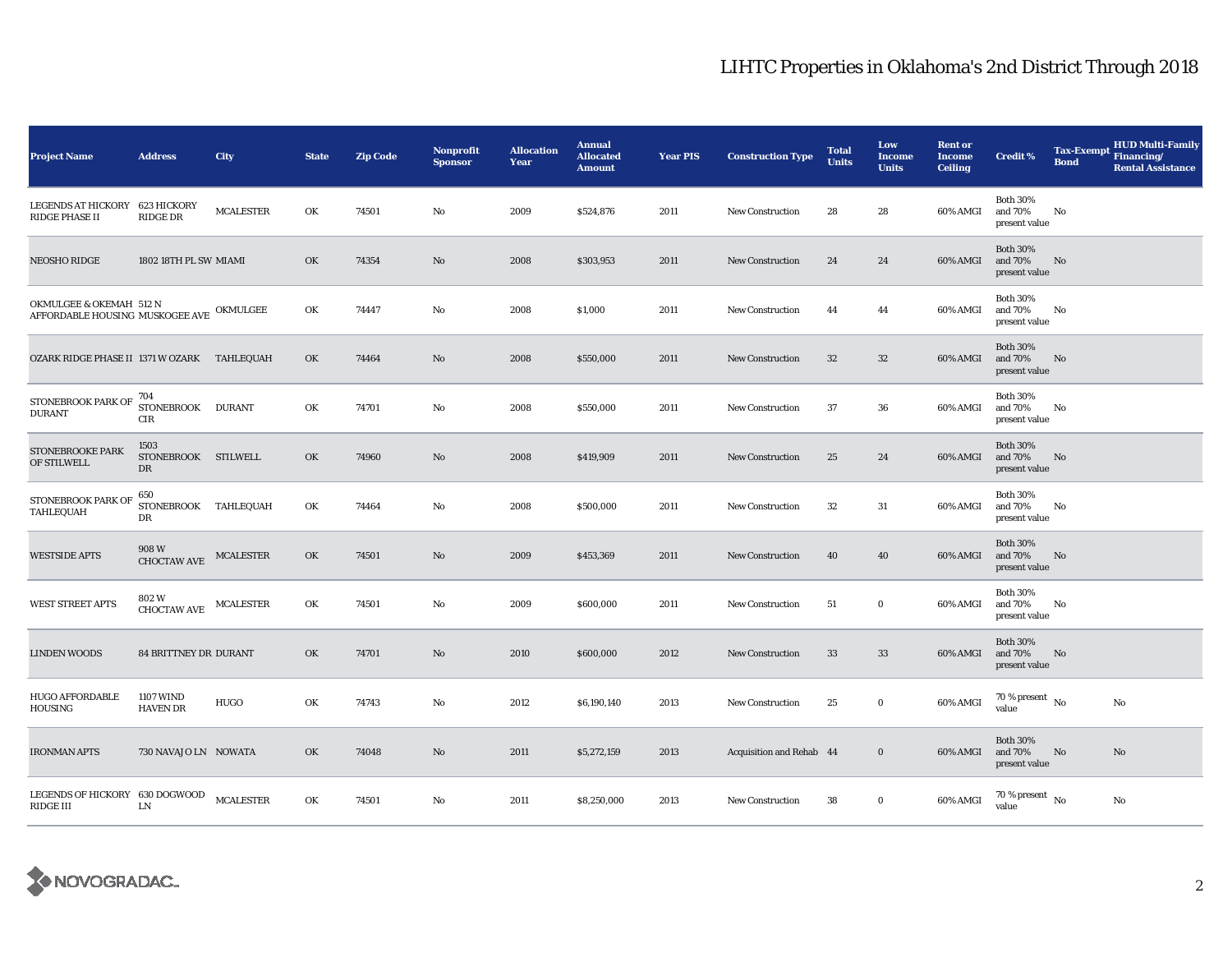| <b>Project Name</b>                                                 | <b>Address</b>                                                                                     | City             | <b>State</b> | <b>Zip Code</b> | <b>Nonprofit</b><br><b>Sponsor</b> | <b>Allocation</b><br>Year | <b>Annual</b><br><b>Allocated</b><br><b>Amount</b> | <b>Year PIS</b> | <b>Construction Type</b> | <b>Total</b><br><b>Units</b> | Low<br>Income<br><b>Units</b> | <b>Rent or</b><br>Income<br><b>Ceiling</b> | <b>Credit %</b>                             | <b>Tax-Exempt</b><br><b>Bond</b> | <b>HUD Multi-Family</b><br>Financing/<br><b>Rental Assistance</b> |
|---------------------------------------------------------------------|----------------------------------------------------------------------------------------------------|------------------|--------------|-----------------|------------------------------------|---------------------------|----------------------------------------------------|-----------------|--------------------------|------------------------------|-------------------------------|--------------------------------------------|---------------------------------------------|----------------------------------|-------------------------------------------------------------------|
| LEGENDS AT HICKORY 623 HICKORY<br><b>RIDGE PHASE II</b>             | <b>RIDGE DR</b>                                                                                    | <b>MCALESTER</b> | OK           | 74501           | $\mathbf{No}$                      | 2009                      | \$524,876                                          | 2011            | New Construction         | 28                           | 28                            | 60% AMGI                                   | <b>Both 30%</b><br>and 70%<br>present value | No                               |                                                                   |
| NEOSHO RIDGE                                                        | 1802 18TH PL SW MIAMI                                                                              |                  | OK           | 74354           | $\mathbf{N}\mathbf{o}$             | 2008                      | \$303,953                                          | 2011            | New Construction         | 24                           | 24                            | 60% AMGI                                   | <b>Both 30%</b><br>and 70%<br>present value | No                               |                                                                   |
| OKMULGEE & OKEMAH 512 N<br>AFFORDABLE HOUSING MUSKOGEE AVE OKMULGEE |                                                                                                    |                  | OK           | 74447           | $\mathbf{No}$                      | 2008                      | \$1,000                                            | 2011            | New Construction         | 44                           | 44                            | 60% AMGI                                   | <b>Both 30%</b><br>and 70%<br>present value | No                               |                                                                   |
| OZARK RIDGE PHASE II 1371 W OZARK TAHLEQUAH                         |                                                                                                    |                  | OK           | 74464           | $\mathbf{N}\mathbf{o}$             | 2008                      | \$550,000                                          | 2011            | <b>New Construction</b>  | 32                           | $32\,$                        | 60% AMGI                                   | <b>Both 30%</b><br>and 70%<br>present value | No                               |                                                                   |
| STONEBROOK PARK OF 704<br><b>DURANT</b>                             | STONEBROOK DURANT<br>CIR                                                                           |                  | OK           | 74701           | No                                 | 2008                      | \$550,000                                          | 2011            | <b>New Construction</b>  | 37                           | 36                            | 60% AMGI                                   | <b>Both 30%</b><br>and 70%<br>present value | No                               |                                                                   |
| <b>STONEBROOKE PARK</b><br>OF STILWELL                              | 1503<br>STONEBROOK STILWELL<br>DR                                                                  |                  | OK           | 74960           | $\mathbf{N}\mathbf{o}$             | 2008                      | \$419,909                                          | 2011            | <b>New Construction</b>  | 25                           | 24                            | 60% AMGI                                   | <b>Both 30%</b><br>and 70%<br>present value | No                               |                                                                   |
| STONEBROOK PARK OF<br>TAHLEQUAH                                     | 650<br>STONEBROOK TAHLEQUAH<br>DR                                                                  |                  | OK           | 74464           | No                                 | 2008                      | \$500,000                                          | 2011            | New Construction         | 32                           | 31                            | 60% AMGI                                   | <b>Both 30%</b><br>and 70%<br>present value | No                               |                                                                   |
| <b>WESTSIDE APTS</b>                                                | 908W<br><b>CHOCTAW AVE</b>                                                                         | MCALESTER        | OK           | 74501           | $\mathbf{N}\mathbf{o}$             | 2009                      | \$453,369                                          | 2011            | New Construction         | 40                           | 40                            | 60% AMGI                                   | <b>Both 30%</b><br>and 70%<br>present value | No                               |                                                                   |
| <b>WEST STREET APTS</b>                                             | 802 W<br>$\begin{minipage}{.4\linewidth} \textbf{CHOCTAW AVE} & \textbf{MCALESTER} \end{minipage}$ |                  | OK           | 74501           | No                                 | 2009                      | \$600,000                                          | 2011            | New Construction         | 51                           | $\bf{0}$                      | 60% AMGI                                   | <b>Both 30%</b><br>and 70%<br>present value | No                               |                                                                   |
| <b>LINDEN WOODS</b>                                                 | <b>84 BRITTNEY DR DURANT</b>                                                                       |                  | OK           | 74701           | $\mathbf{N}\mathbf{o}$             | 2010                      | \$600,000                                          | 2012            | <b>New Construction</b>  | 33                           | 33                            | 60% AMGI                                   | <b>Both 30%</b><br>and 70%<br>present value | No                               |                                                                   |
| <b>HUGO AFFORDABLE</b><br><b>HOUSING</b>                            | <b>1107 WIND</b><br><b>HAVEN DR</b>                                                                | HUGO             | OK           | 74743           | No                                 | 2012                      | \$6,190,140                                        | 2013            | New Construction         | 25                           | $\bf{0}$                      | 60% AMGI                                   | 70 % present $\hbox{~No}$<br>value          |                                  | No                                                                |
| <b>IRONMAN APTS</b>                                                 | 730 NAVAJO LN NOWATA                                                                               |                  | OK           | 74048           | $\mathbf{N}\mathbf{o}$             | 2011                      | \$5,272,159                                        | 2013            | Acquisition and Rehab 44 |                              | $\bf{0}$                      | 60% AMGI                                   | <b>Both 30%</b><br>and 70%<br>present value | No                               | No                                                                |
| LEGENDS OF HICKORY 630 DOGWOOD<br>RIDGE III                         | LN                                                                                                 | <b>MCALESTER</b> | OK           | 74501           | No                                 | 2011                      | \$8,250,000                                        | 2013            | <b>New Construction</b>  | 38                           | $\bf{0}$                      | 60% AMGI                                   | $70$ % present $_{\, \rm No}$<br>value      |                                  | No                                                                |

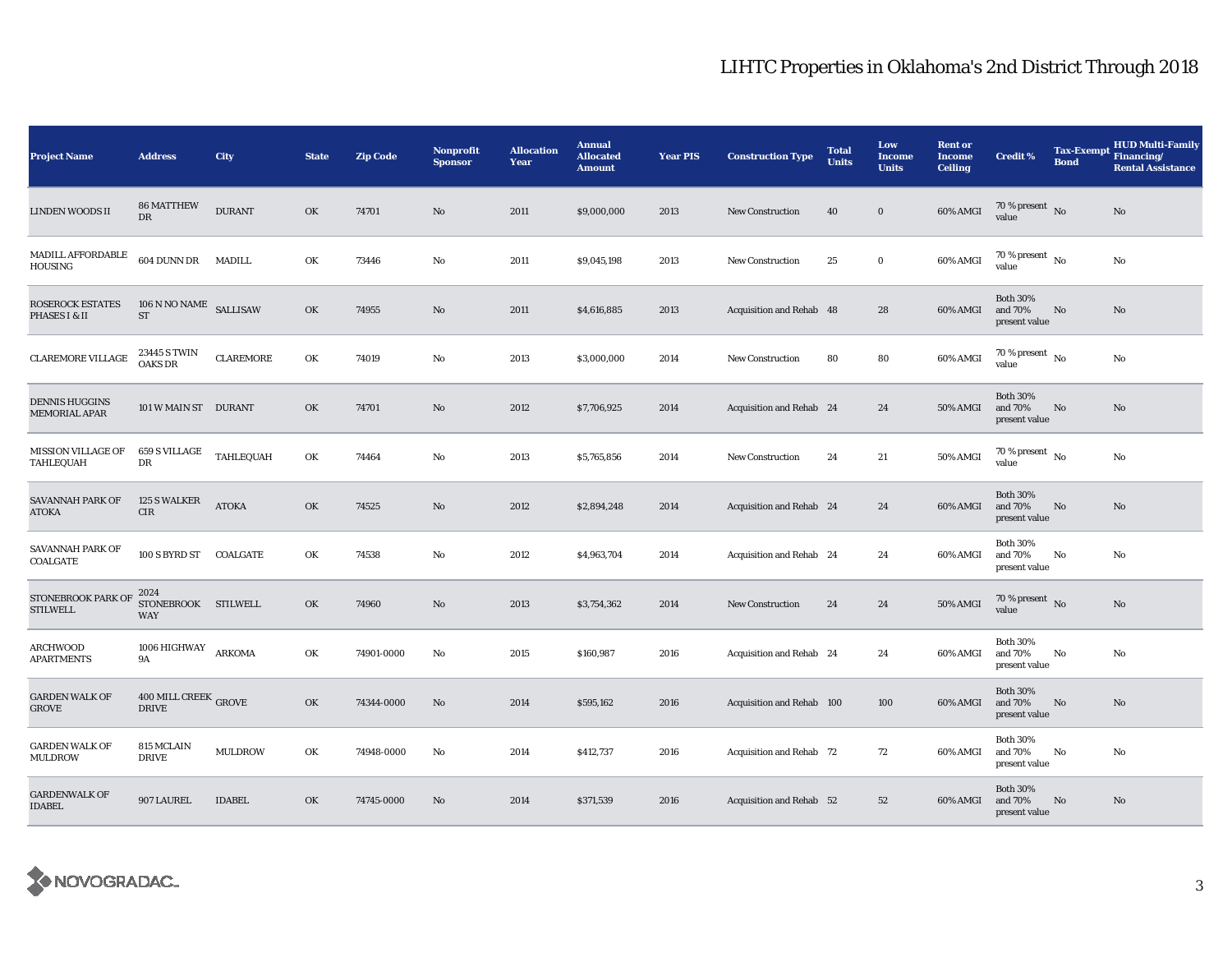| <b>Project Name</b>                           | <b>Address</b>                                   | City             | <b>State</b> | <b>Zip Code</b> | Nonprofit<br><b>Sponsor</b> | <b>Allocation</b><br>Year | <b>Annual</b><br><b>Allocated</b><br><b>Amount</b> | <b>Year PIS</b> | <b>Construction Type</b>  | <b>Total</b><br><b>Units</b> | Low<br><b>Income</b><br><b>Units</b> | <b>Rent or</b><br><b>Income</b><br><b>Ceiling</b> | <b>Credit %</b>                             | Tax-Exempt Financing/<br><b>Bond</b> | <b>HUD Multi-Family</b><br><b>Rental Assistance</b> |
|-----------------------------------------------|--------------------------------------------------|------------------|--------------|-----------------|-----------------------------|---------------------------|----------------------------------------------------|-----------------|---------------------------|------------------------------|--------------------------------------|---------------------------------------------------|---------------------------------------------|--------------------------------------|-----------------------------------------------------|
| LINDEN WOODS II                               | <b>86 MATTHEW</b><br>DR                          | <b>DURANT</b>    | OK           | 74701           | $\mathbf{N}\mathbf{o}$      | 2011                      | \$9,000,000                                        | 2013            | <b>New Construction</b>   | 40                           | $\mathbf{0}$                         | 60% AMGI                                          | 70 % present $\,$ No $\,$<br>value          |                                      | No                                                  |
| <b>MADILL AFFORDABLE</b><br>HOUSING           | 604 DUNN DR                                      | <b>MADILL</b>    | OK           | 73446           | No                          | 2011                      | \$9,045,198                                        | 2013            | <b>New Construction</b>   | 25                           | $\bf{0}$                             | 60% AMGI                                          | 70 % present $\hbox{~No}$<br>value          |                                      | No                                                  |
| ROSEROCK ESTATES<br><b>PHASES I &amp; II</b>  | 106 N NO NAME SALLISAW<br>$\operatorname{ST}$    |                  | OK           | 74955           | No                          | 2011                      | \$4,616,885                                        | 2013            | Acquisition and Rehab 48  |                              | 28                                   | 60% AMGI                                          | <b>Both 30%</b><br>and 70%<br>present value | No                                   | No                                                  |
| CLAREMORE VILLAGE                             | 23445 S TWIN<br>OAKS DR                          | <b>CLAREMORE</b> | OK           | 74019           | $\rm No$                    | 2013                      | \$3,000,000                                        | 2014            | <b>New Construction</b>   | 80                           | 80                                   | 60% AMGI                                          | 70 % present $\hbox{~No}$<br>value          |                                      | No                                                  |
| <b>DENNIS HUGGINS</b><br><b>MEMORIAL APAR</b> | 101 W MAIN ST DURANT                             |                  | OK           | 74701           | No                          | 2012                      | \$7,706,925                                        | 2014            | Acquisition and Rehab 24  |                              | 24                                   | 50% AMGI                                          | <b>Both 30%</b><br>and 70%<br>present value | No                                   | No                                                  |
| <b>MISSION VILLAGE OF</b><br>TAHLEQUAH        | $659\>\mathrm{S}\:\mathrm{VILLAGE}$<br>DR        | TAHLEQUAH        | OK           | 74464           | No                          | 2013                      | \$5,765,856                                        | 2014            | <b>New Construction</b>   | 24                           | 21                                   | 50% AMGI                                          | 70 % present $\hbox{~No}$<br>value          |                                      | No                                                  |
| SAVANNAH PARK OF<br><b>ATOKA</b>              | 125 S WALKER<br><b>CIR</b>                       | <b>ATOKA</b>     | OK           | 74525           | $\mathbf{N}\mathbf{o}$      | 2012                      | \$2,894,248                                        | 2014            | Acquisition and Rehab 24  |                              | 24                                   | 60% AMGI                                          | <b>Both 30%</b><br>and 70%<br>present value | No                                   | No                                                  |
| SAVANNAH PARK OF<br><b>COALGATE</b>           | 100 S BYRD ST COALGATE                           |                  | OK           | 74538           | No                          | 2012                      | \$4,963,704                                        | 2014            | Acquisition and Rehab 24  |                              | 24                                   | 60% AMGI                                          | <b>Both 30%</b><br>and 70%<br>present value | No                                   | No                                                  |
| STONEBROOK PARK OF<br><b>STILWELL</b>         | 2024<br>STONEBROOK STILWELL<br><b>WAY</b>        |                  | OK           | 74960           | No                          | 2013                      | \$3,754,362                                        | 2014            | <b>New Construction</b>   | 24                           | 24                                   | <b>50% AMGI</b>                                   | $70\,\%$ present $\,$ No value              |                                      | No                                                  |
| ARCHWOOD<br>APARTMENTS                        | 1006 HIGHWAY<br><b>9A</b>                        | <b>ARKOMA</b>    | OK           | 74901-0000      | No                          | 2015                      | \$160,987                                          | 2016            | Acquisition and Rehab 24  |                              | 24                                   | 60% AMGI                                          | <b>Both 30%</b><br>and 70%<br>present value | No                                   | No                                                  |
| <b>GARDEN WALK OF</b><br><b>GROVE</b>         | $400$ MILL CREEK $_{\rm{GROVE}}$<br><b>DRIVE</b> |                  | OK           | 74344-0000      | No                          | 2014                      | \$595,162                                          | 2016            | Acquisition and Rehab 100 |                              | 100                                  | 60% AMGI                                          | <b>Both 30%</b><br>and 70%<br>present value | No                                   | No                                                  |
| <b>GARDEN WALK OF</b><br><b>MULDROW</b>       | <b>815 MCLAIN</b><br><b>DRIVE</b>                | <b>MULDROW</b>   | OK           | 74948-0000      | No                          | 2014                      | \$412,737                                          | 2016            | Acquisition and Rehab 72  |                              | 72                                   | 60% AMGI                                          | <b>Both 30%</b><br>and 70%<br>present value | No                                   | No                                                  |
| <b>GARDENWALK OF</b><br><b>IDABEL</b>         | 907 LAUREL                                       | <b>IDABEL</b>    | OK           | 74745-0000      | No                          | 2014                      | \$371,539                                          | 2016            | Acquisition and Rehab 52  |                              | 52                                   | 60% AMGI                                          | <b>Both 30%</b><br>and 70%<br>present value | No                                   | No                                                  |

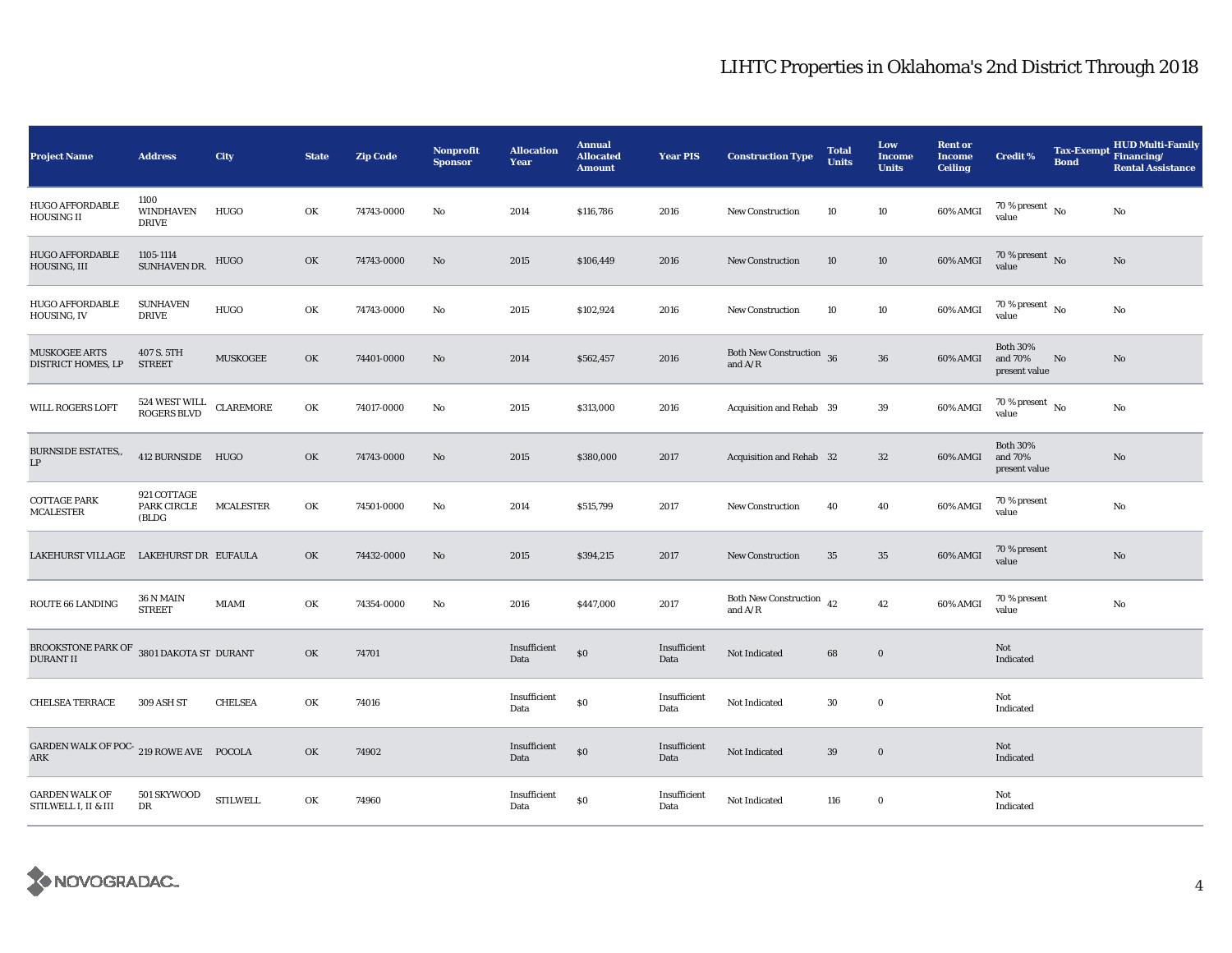| <b>Project Name</b>                                                    | <b>Address</b>                             | <b>City</b>      | <b>State</b> | Zip Code   | Nonprofit<br><b>Sponsor</b> | <b>Allocation</b><br>Year | <b>Annual</b><br><b>Allocated</b><br><b>Amount</b> | <b>Year PIS</b>      | <b>Construction Type</b>                   | <b>Total</b><br><b>Units</b> | Low<br><b>Income</b><br><b>Units</b> | <b>Rent or</b><br><b>Income</b><br><b>Ceiling</b> | Credit %                                    | <b>Tax-Exempt</b><br><b>Bond</b> | <b>HUD Multi-Family</b><br>Financing/<br><b>Rental Assistance</b> |
|------------------------------------------------------------------------|--------------------------------------------|------------------|--------------|------------|-----------------------------|---------------------------|----------------------------------------------------|----------------------|--------------------------------------------|------------------------------|--------------------------------------|---------------------------------------------------|---------------------------------------------|----------------------------------|-------------------------------------------------------------------|
| <b>HUGO AFFORDABLE</b><br><b>HOUSING II</b>                            | 1100<br>WINDHAVEN<br><b>DRIVE</b>          | HUGO             | OK           | 74743-0000 | No                          | 2014                      | \$116,786                                          | 2016                 | <b>New Construction</b>                    | 10                           | 10                                   | 60% AMGI                                          | $70$ % present $\,$ No $\,$<br>value        |                                  | No                                                                |
| <b>HUGO AFFORDABLE</b><br>HOUSING, III                                 | 1105-1114<br>SUNHAVEN DR.                  | HUGO             | OK           | 74743-0000 | No                          | 2015                      | \$106,449                                          | 2016                 | <b>New Construction</b>                    | 10                           | 10                                   | 60% AMGI                                          | 70 % present $\,$ No $\,$<br>value          |                                  | No                                                                |
| <b>HUGO AFFORDABLE</b><br>HOUSING, IV                                  | <b>SUNHAVEN</b><br><b>DRIVE</b>            | <b>HUGO</b>      | OK           | 74743-0000 | No                          | 2015                      | \$102,924                                          | 2016                 | <b>New Construction</b>                    | 10                           | 10                                   | 60% AMGI                                          | $70$ % present $\,$ No $\,$<br>value        |                                  | $\mathbf{No}$                                                     |
| <b>MUSKOGEE ARTS</b><br>DISTRICT HOMES, LP                             | 407 S. 5TH<br><b>STREET</b>                | <b>MUSKOGEE</b>  | OK           | 74401-0000 | No                          | 2014                      | \$562,457                                          | 2016                 | Both New Construction 36<br>and $A/R$      |                              | 36                                   | 60% AMGI                                          | <b>Both 30%</b><br>and 70%<br>present value | No                               | No                                                                |
| WILL ROGERS LOFT                                                       | 524 WEST WILL<br>ROGERS BLVD               | <b>CLAREMORE</b> | OK           | 74017-0000 | No                          | 2015                      | \$313,000                                          | 2016                 | Acquisition and Rehab 39                   |                              | 39                                   | 60% AMGI                                          | $70$ % present $\,$ No $\,$<br>value        |                                  | No                                                                |
| <b>BURNSIDE ESTATES,,</b><br>$\mathbf{L}\mathbf{P}$                    | 412 BURNSIDE HUGO                          |                  | OK           | 74743-0000 | No                          | 2015                      | \$380,000                                          | 2017                 | Acquisition and Rehab 32                   |                              | 32                                   | 60% AMGI                                          | <b>Both 30%</b><br>and 70%<br>present value |                                  | No                                                                |
| <b>COTTAGE PARK</b><br><b>MCALESTER</b>                                | 921 COTTAGE<br><b>PARK CIRCLE</b><br>(BLDG | <b>MCALESTER</b> | OK           | 74501-0000 | No                          | 2014                      | \$515,799                                          | 2017                 | <b>New Construction</b>                    | 40                           | 40                                   | 60% AMGI                                          | 70 % present<br>value                       |                                  | $\mathbf{No}$                                                     |
| LAKEHURST VILLAGE                                                      | LAKEHURST DR EUFAULA                       |                  | OK           | 74432-0000 | No                          | 2015                      | \$394,215                                          | 2017                 | New Construction                           | 35                           | 35                                   | 60% AMGI                                          | 70 % present<br>value                       |                                  | No                                                                |
| ROUTE 66 LANDING                                                       | 36 N MAIN<br><b>STREET</b>                 | MIAMI            | OK           | 74354-0000 | No                          | 2016                      | \$447,000                                          | 2017                 | Both New Construction $\,$ 42<br>and $A/R$ |                              | 42                                   | 60% AMGI                                          | 70 % present<br>value                       |                                  | $\rm No$                                                          |
| BROOKSTONE PARK OF $\,$ 3801 DAKOTA ST $\,$ DURANT<br><b>DURANT II</b> |                                            |                  | OK           | 74701      |                             | Insufficient<br>Data      | $\$0$                                              | Insufficient<br>Data | Not Indicated                              | 68                           | $\bf{0}$                             |                                                   | Not<br>Indicated                            |                                  |                                                                   |
| <b>CHELSEA TERRACE</b>                                                 | 309 ASH ST                                 | <b>CHELSEA</b>   | OK           | 74016      |                             | Insufficient<br>Data      | \$0                                                | Insufficient<br>Data | Not Indicated                              | $30\,$                       | $\bf{0}$                             |                                                   | Not<br>Indicated                            |                                  |                                                                   |
| GARDEN WALK OF POC-219 ROWE AVE POCOLA<br>ARK                          |                                            |                  | OK           | 74902      |                             | Insufficient<br>Data      | $\$0$                                              | Insufficient<br>Data | Not Indicated                              | 39                           | $\mathbf 0$                          |                                                   | Not<br>Indicated                            |                                  |                                                                   |
| <b>GARDEN WALK OF</b><br>STILWELL I, II & III                          | 501 SKYWOOD<br>DR                          | <b>STILWELL</b>  | OK           | 74960      |                             | Insufficient<br>Data      | $\$0$                                              | Insufficient<br>Data | Not Indicated                              | 116                          | $\bf{0}$                             |                                                   | Not<br>Indicated                            |                                  |                                                                   |

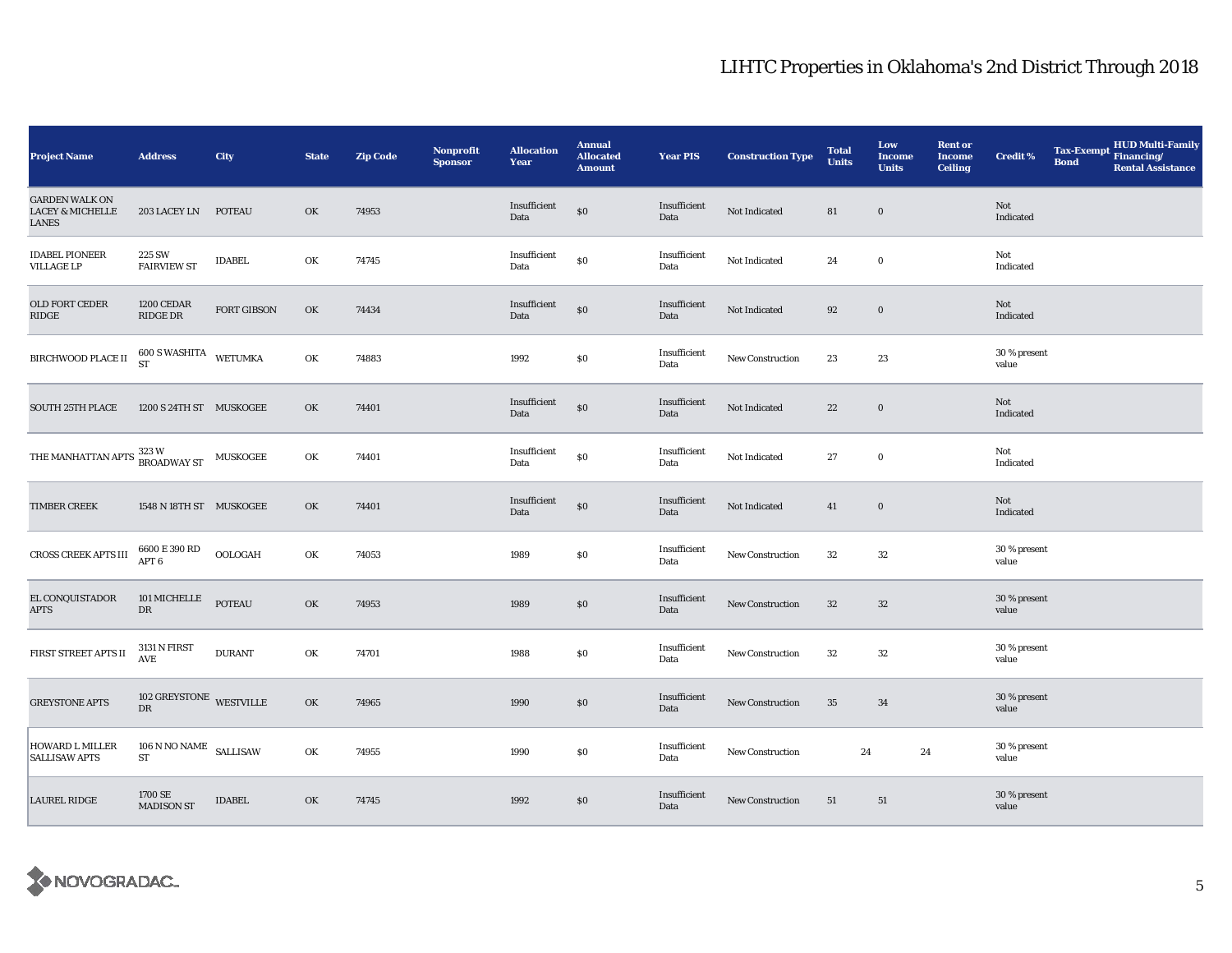| <b>Project Name</b>                                                    | <b>Address</b>                                                                                  | City          | <b>State</b> | <b>Zip Code</b> | Nonprofit<br><b>Sponsor</b> | <b>Allocation</b><br>Year | <b>Annual</b><br><b>Allocated</b><br><b>Amount</b> | <b>Year PIS</b>      | <b>Construction Type</b> | <b>Total</b><br><b>Units</b> | Low<br><b>Income</b><br><b>Units</b> | <b>Rent or</b><br><b>Income</b><br><b>Ceiling</b> | <b>Credit %</b>       | <b>Bond</b> | Tax-Exempt HUD Multi-Family<br><b>Rental Assistance</b> |
|------------------------------------------------------------------------|-------------------------------------------------------------------------------------------------|---------------|--------------|-----------------|-----------------------------|---------------------------|----------------------------------------------------|----------------------|--------------------------|------------------------------|--------------------------------------|---------------------------------------------------|-----------------------|-------------|---------------------------------------------------------|
| <b>GARDEN WALK ON</b><br><b>LACEY &amp; MICHELLE</b><br>LANES          | 203 LACEY LN                                                                                    | <b>POTEAU</b> | OK           | 74953           |                             | Insufficient<br>Data      | $\$0$                                              | Insufficient<br>Data | Not Indicated            | 81                           | $\bf{0}$                             |                                                   | Not<br>Indicated      |             |                                                         |
| <b>IDABEL PIONEER</b><br><b>VILLAGE LP</b>                             | 225 SW<br><b>FAIRVIEW ST</b>                                                                    | <b>IDABEL</b> | OK           | 74745           |                             | Insufficient<br>Data      | \$0                                                | Insufficient<br>Data | Not Indicated            | 24                           | $\bf{0}$                             |                                                   | Not<br>Indicated      |             |                                                         |
| OLD FORT CEDER<br>RIDGE                                                | 1200 CEDAR<br>RIDGE DR                                                                          | FORT GIBSON   | OK           | 74434           |                             | Insufficient<br>Data      | $\$0$                                              | Insufficient<br>Data | Not Indicated            | 92                           | $\bf{0}$                             |                                                   | Not<br>Indicated      |             |                                                         |
| $\rm BIRCHWOOD$ PLACE II                                               | $\begin{array}{cc}\n600 S \text{ WASHITA} & \text{WETUMKA} \\ ST & \text{WETUMKA}\n\end{array}$ |               | OK           | 74883           |                             | 1992                      | $\$0$                                              | Insufficient<br>Data | New Construction         | 23                           | 23                                   |                                                   | 30 % present<br>value |             |                                                         |
| <b>SOUTH 25TH PLACE</b>                                                | 1200 S 24TH ST MUSKOGEE                                                                         |               | OK           | 74401           |                             | Insufficient<br>Data      | \$0                                                | Insufficient<br>Data | Not Indicated            | $\bf{22}$                    | $\mathbf 0$                          |                                                   | Not<br>Indicated      |             |                                                         |
| THE MANHATTAN APTS $\frac{323 \text{ W}}{\text{BROADWAY ST}}$ MUSKOGEE |                                                                                                 |               | OK           | 74401           |                             | Insufficient<br>Data      | \$0                                                | Insufficient<br>Data | Not Indicated            | 27                           | $\bf{0}$                             |                                                   | Not<br>Indicated      |             |                                                         |
| <b>TIMBER CREEK</b>                                                    | 1548 N 18TH ST MUSKOGEE                                                                         |               | OK           | 74401           |                             | Insufficient<br>Data      | $\$0$                                              | Insufficient<br>Data | Not Indicated            | 41                           | $\bf{0}$                             |                                                   | Not<br>Indicated      |             |                                                         |
| CROSS CREEK APTS III                                                   | 6600 E 390 RD<br>APT <sub>6</sub>                                                               | OOLOGAH       | OK           | 74053           |                             | 1989                      | $\$0$                                              | Insufficient<br>Data | <b>New Construction</b>  | $32\,$                       | $32\,$                               |                                                   | 30 % present<br>value |             |                                                         |
| EL CONQUISTADOR<br>APTS                                                | $101\,\mathrm{MICHELLE}$<br>${\rm D}{\rm R}$                                                    | <b>POTEAU</b> | OK           | 74953           |                             | 1989                      | \$0                                                | Insufficient<br>Data | <b>New Construction</b>  | 32                           | 32                                   |                                                   | 30 % present<br>value |             |                                                         |
| FIRST STREET APTS II                                                   | 3131 N FIRST<br><b>AVE</b>                                                                      | <b>DURANT</b> | OK           | 74701           |                             | 1988                      | $\$0$                                              | Insufficient<br>Data | <b>New Construction</b>  | 32                           | 32                                   |                                                   | 30 % present<br>value |             |                                                         |
| <b>GREYSTONE APTS</b>                                                  | 102 GREYSTONE WESTVILLE<br>${\rm DR}$                                                           |               | OK           | 74965           |                             | 1990                      | \$0                                                | Insufficient<br>Data | New Construction         | 35                           | 34                                   |                                                   | 30 % present<br>value |             |                                                         |
| HOWARD L MILLER<br><b>SALLISAW APTS</b>                                | $106$ N NO NAME $$\rm SALLISAW$$<br>${\rm ST}$                                                  |               | OK           | 74955           |                             | 1990                      | $\$0$                                              | Insufficient<br>Data | New Construction         | 24                           | 24                                   |                                                   | 30 % present<br>value |             |                                                         |
| <b>LAUREL RIDGE</b>                                                    | 1700 SE<br><b>MADISON ST</b>                                                                    | <b>IDABEL</b> | OK           | 74745           |                             | 1992                      | $\$0$                                              | Insufficient<br>Data | New Construction         | 51                           | 51                                   |                                                   | 30 % present<br>value |             |                                                         |

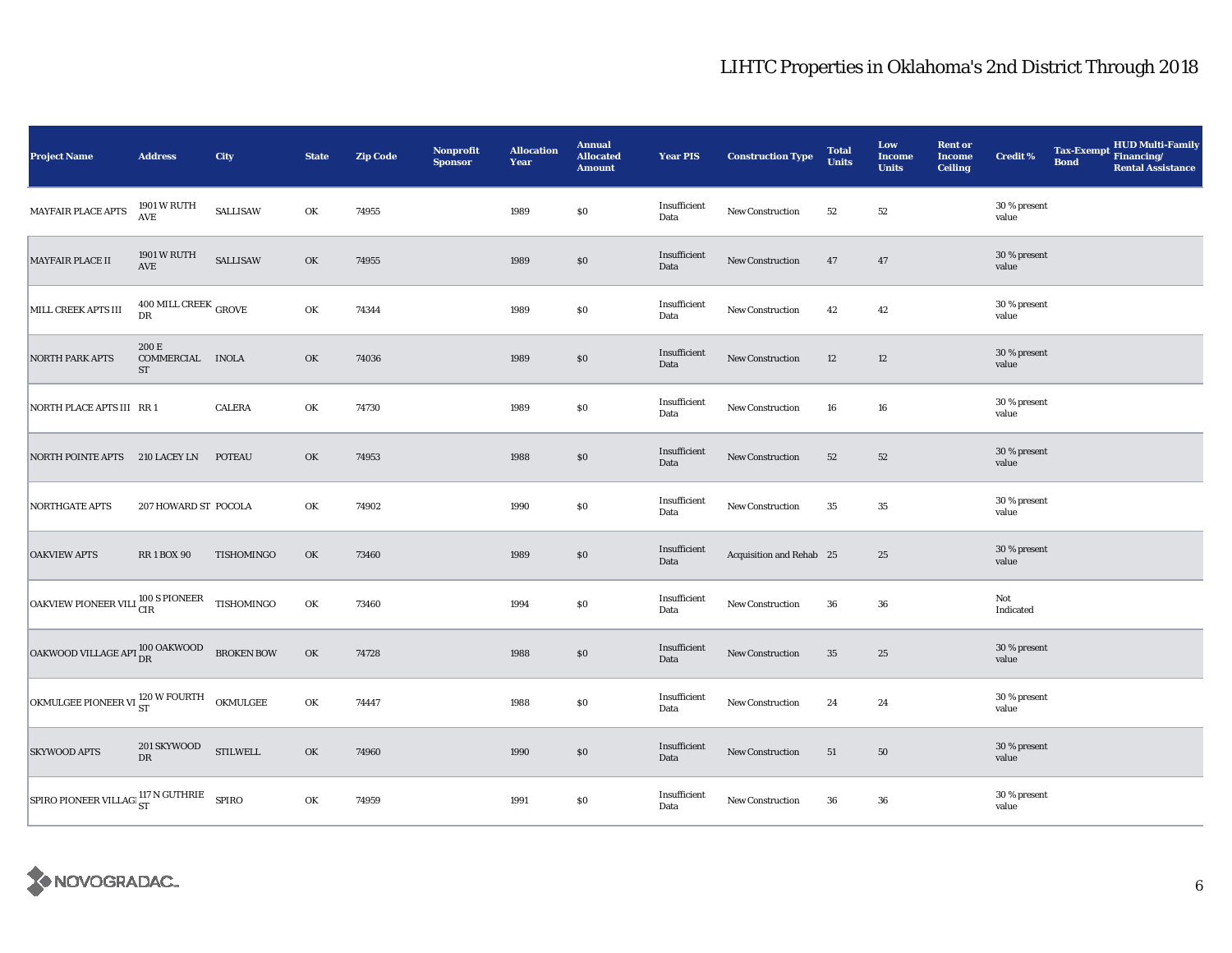| <b>Project Name</b>                                   | <b>Address</b>                                | City              | <b>State</b> | <b>Zip Code</b> | <b>Nonprofit</b><br><b>Sponsor</b> | <b>Allocation</b><br>Year | <b>Annual</b><br><b>Allocated</b><br><b>Amount</b> | <b>Year PIS</b>      | <b>Construction Type</b> | <b>Total</b><br><b>Units</b> | Low<br><b>Income</b><br><b>Units</b> | <b>Rent or</b><br><b>Income</b><br><b>Ceiling</b> | <b>Credit %</b>       | <b>Bond</b> | HUD Multi-Family<br>Tax-Exempt Financing/<br><b>Rental Assistance</b> |
|-------------------------------------------------------|-----------------------------------------------|-------------------|--------------|-----------------|------------------------------------|---------------------------|----------------------------------------------------|----------------------|--------------------------|------------------------------|--------------------------------------|---------------------------------------------------|-----------------------|-------------|-----------------------------------------------------------------------|
| MAYFAIR PLACE APTS                                    | 1901 W RUTH<br>$\operatorname{AVE}$           | <b>SALLISAW</b>   | OK           | 74955           |                                    | 1989                      | $\$0$                                              | Insufficient<br>Data | New Construction         | 52                           | 52                                   |                                                   | 30 % present<br>value |             |                                                                       |
| MAYFAIR PLACE II                                      | 1901 W RUTH<br>AVE                            | <b>SALLISAW</b>   | OK           | 74955           |                                    | 1989                      | \$0                                                | Insufficient<br>Data | New Construction         | 47                           | 47                                   |                                                   | 30 % present<br>value |             |                                                                       |
| MILL CREEK APTS III                                   | $400$ MILL CREEK $_{\rm{GROVE}}$<br><b>DR</b> |                   | OK           | 74344           |                                    | 1989                      | $\$0$                                              | Insufficient<br>Data | New Construction         | 42                           | 42                                   |                                                   | 30 % present<br>value |             |                                                                       |
| NORTH PARK APTS                                       | 200 E<br>COMMERCIAL INOLA<br><b>ST</b>        |                   | OK           | 74036           |                                    | 1989                      | \$0                                                | Insufficient<br>Data | New Construction         | 12                           | 12                                   |                                                   | 30 % present<br>value |             |                                                                       |
| NORTH PLACE APTS III RR 1                             |                                               | <b>CALERA</b>     | OK           | 74730           |                                    | 1989                      | <b>SO</b>                                          | Insufficient<br>Data | <b>New Construction</b>  | 16                           | 16                                   |                                                   | 30 % present<br>value |             |                                                                       |
| NORTH POINTE APTS 210 LACEY LN                        |                                               | <b>POTEAU</b>     | OK           | 74953           |                                    | 1988                      | $\$0$                                              | Insufficient<br>Data | New Construction         | 52                           | 52                                   |                                                   | 30 % present<br>value |             |                                                                       |
| <b>NORTHGATE APTS</b>                                 | 207 HOWARD ST POCOLA                          |                   | OK           | 74902           |                                    | 1990                      | $\$0$                                              | Insufficient<br>Data | New Construction         | 35                           | 35                                   |                                                   | 30 % present<br>value |             |                                                                       |
| <b>OAKVIEW APTS</b>                                   | <b>RR1BOX90</b>                               | TISHOMINGO        | OK           | 73460           |                                    | 1989                      | $\$0$                                              | Insufficient<br>Data | Acquisition and Rehab 25 |                              | 25                                   |                                                   | 30 % present<br>value |             |                                                                       |
| OAKVIEW PIONEER VILI <sup>100</sup> S PIONEER         |                                               | TISHOMINGO        | OK           | 73460           |                                    | 1994                      | $\$0$                                              | Insufficient<br>Data | New Construction         | 36                           | 36                                   |                                                   | Not<br>Indicated      |             |                                                                       |
| OAKWOOD VILLAGE APT OO OAKWOOD                        |                                               | <b>BROKEN BOW</b> | OK           | 74728           |                                    | 1988                      | $\$0$                                              | Insufficient<br>Data | New Construction         | 35                           | 25                                   |                                                   | 30 % present<br>value |             |                                                                       |
| OKMULGEE PIONEER VI $_{ST}^{120}$ W FOURTH OKMULGEE   |                                               |                   | OK           | 74447           |                                    | 1988                      | $\$0$                                              | Insufficient<br>Data | New Construction         | 24                           | 24                                   |                                                   | 30 % present<br>value |             |                                                                       |
| <b>SKYWOOD APTS</b>                                   | 201 SKYWOOD<br>DR                             | <b>STILWELL</b>   | OK           | 74960           |                                    | 1990                      | \$0                                                | Insufficient<br>Data | New Construction         | 51                           | 50                                   |                                                   | 30 % present<br>value |             |                                                                       |
| SPIRO PIONEER VILLAG $\frac{117}{ST}$ N GUTHRIE SPIRO |                                               |                   | OK           | 74959           |                                    | 1991                      | $\$0$                                              | Insufficient<br>Data | New Construction         | 36                           | 36                                   |                                                   | 30 % present<br>value |             |                                                                       |

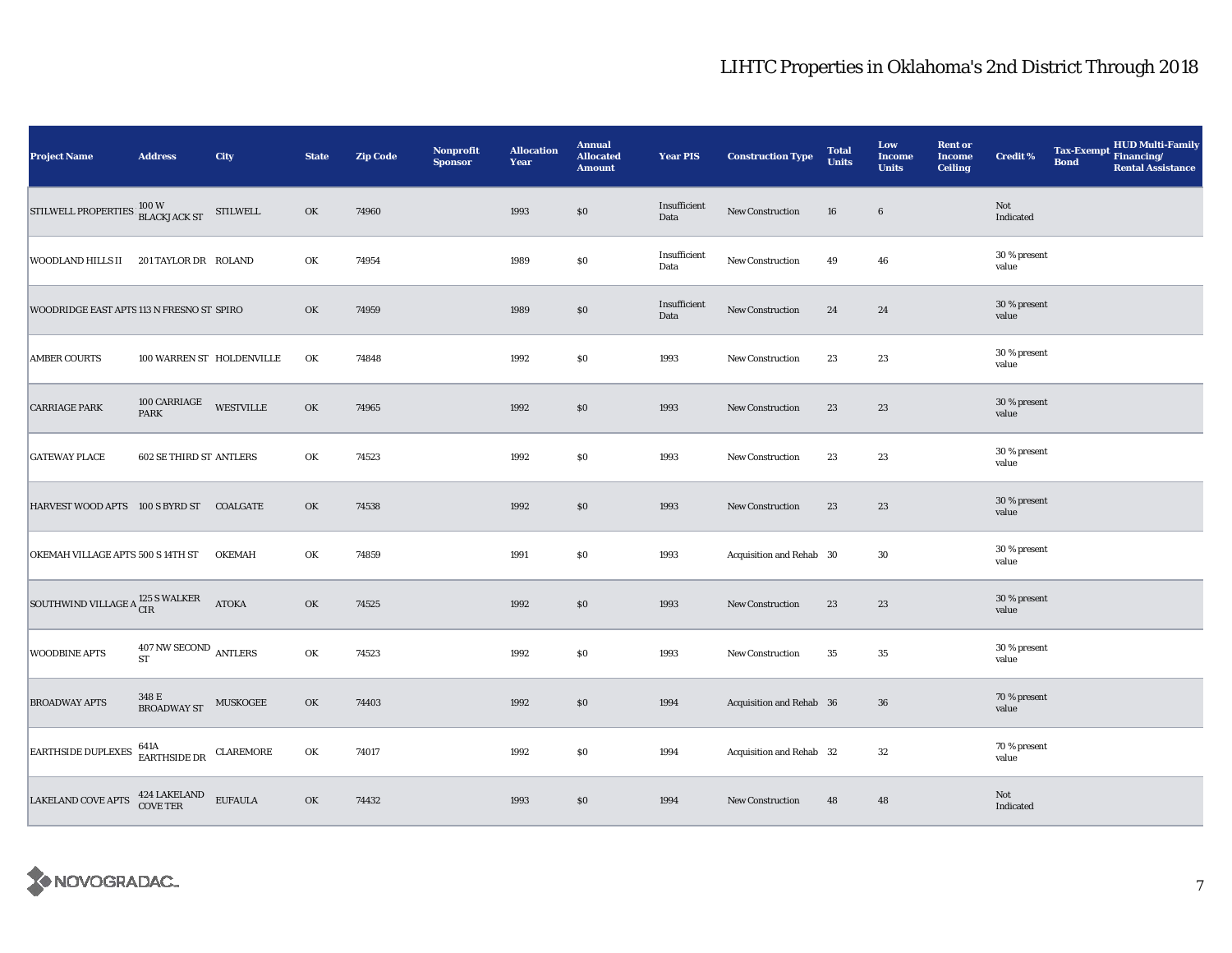| <b>Project Name</b>                                                                                   | <b>Address</b>                                             | City             | <b>State</b> | <b>Zip Code</b> | <b>Nonprofit</b><br><b>Sponsor</b> | <b>Allocation</b><br>Year | <b>Annual</b><br><b>Allocated</b><br><b>Amount</b> | <b>Year PIS</b>      | <b>Construction Type</b> | <b>Total</b><br><b>Units</b> | Low<br><b>Income</b><br><b>Units</b> | <b>Rent or</b><br><b>Income</b><br><b>Ceiling</b> | <b>Credit %</b>       | <b>Bond</b> | Tax-Exempt HUD Multi-Family<br><b>Rental Assistance</b> |
|-------------------------------------------------------------------------------------------------------|------------------------------------------------------------|------------------|--------------|-----------------|------------------------------------|---------------------------|----------------------------------------------------|----------------------|--------------------------|------------------------------|--------------------------------------|---------------------------------------------------|-----------------------|-------------|---------------------------------------------------------|
| STILWELL PROPERTIES 100 W<br>BLACKJACK ST                                                             |                                                            | <b>STILWELL</b>  | OK           | 74960           |                                    | 1993                      | \$0                                                | Insufficient<br>Data | New Construction         | 16                           | $6\phantom{.}6$                      |                                                   | Not<br>Indicated      |             |                                                         |
| WOODLAND HILLS II                                                                                     | 201 TAYLOR DR ROLAND                                       |                  | OK           | 74954           |                                    | 1989                      | \$0                                                | Insufficient<br>Data | New Construction         | 49                           | 46                                   |                                                   | 30 % present<br>value |             |                                                         |
| WOODRIDGE EAST APTS 113 N FRESNO ST SPIRO                                                             |                                                            |                  | OK           | 74959           |                                    | 1989                      | \$0                                                | Insufficient<br>Data | New Construction         | 24                           | 24                                   |                                                   | 30 % present<br>value |             |                                                         |
| <b>AMBER COURTS</b>                                                                                   | 100 WARREN ST HOLDENVILLE                                  |                  | OK           | 74848           |                                    | 1992                      | $\$0$                                              | 1993                 | New Construction         | 23                           | 23                                   |                                                   | 30 % present<br>value |             |                                                         |
| <b>CARRIAGE PARK</b>                                                                                  | 100 CARRIAGE<br>PARK                                       | <b>WESTVILLE</b> | OK           | 74965           |                                    | 1992                      | \$0                                                | 1993                 | New Construction         | 23                           | 23                                   |                                                   | 30 % present<br>value |             |                                                         |
| <b>GATEWAY PLACE</b>                                                                                  | <b>602 SE THIRD ST ANTLERS</b>                             |                  | OK           | 74523           |                                    | 1992                      | \$0                                                | 1993                 | New Construction         | 23                           | 23                                   |                                                   | 30 % present<br>value |             |                                                         |
| HARVEST WOOD APTS 100 S BYRD ST COALGATE                                                              |                                                            |                  | OK           | 74538           |                                    | 1992                      | \$0                                                | 1993                 | New Construction         | 23                           | 23                                   |                                                   | 30 % present<br>value |             |                                                         |
| OKEMAH VILLAGE APTS 500 S 14TH ST                                                                     |                                                            | <b>OKEMAH</b>    | OK           | 74859           |                                    | 1991                      | $\$0$                                              | 1993                 | Acquisition and Rehab 30 |                              | 30                                   |                                                   | 30 % present<br>value |             |                                                         |
| SOUTHWIND VILLAGE A <sup>125</sup> S WALKER                                                           |                                                            | <b>ATOKA</b>     | OK           | 74525           |                                    | 1992                      | \$0                                                | 1993                 | New Construction         | 23                           | 23                                   |                                                   | 30 % present<br>value |             |                                                         |
| <b>WOODBINE APTS</b>                                                                                  | $407\,\mathrm{NW}\,\mathrm{SECOND}\;$ ANTLERS<br><b>ST</b> |                  | OK           | 74523           |                                    | 1992                      | \$0                                                | 1993                 | New Construction         | 35                           | 35                                   |                                                   | 30 % present<br>value |             |                                                         |
| <b>BROADWAY APTS</b>                                                                                  | 348 E<br><b>BROADWAY ST</b>                                | MUSKOGEE         | OK           | 74403           |                                    | 1992                      | \$0                                                | 1994                 | Acquisition and Rehab 36 |                              | 36                                   |                                                   | 70 % present<br>value |             |                                                         |
| <b>EARTHSIDE DUPLEXES</b>                                                                             | 641A                                                       |                  | OK           | 74017           |                                    | 1992                      | \$0                                                | 1994                 | Acquisition and Rehab 32 |                              | 32                                   |                                                   | 70 % present<br>value |             |                                                         |
| $\begin{tabular}{ll} LAKELAND COVE APTS & $^{424}\,\text{LAKELAND} & \text{EUFAULA} \\ \end{tabular}$ |                                                            |                  | OK           | 74432           |                                    | 1993                      | $\$0$                                              | 1994                 | New Construction         | 48                           | 48                                   |                                                   | Not<br>Indicated      |             |                                                         |

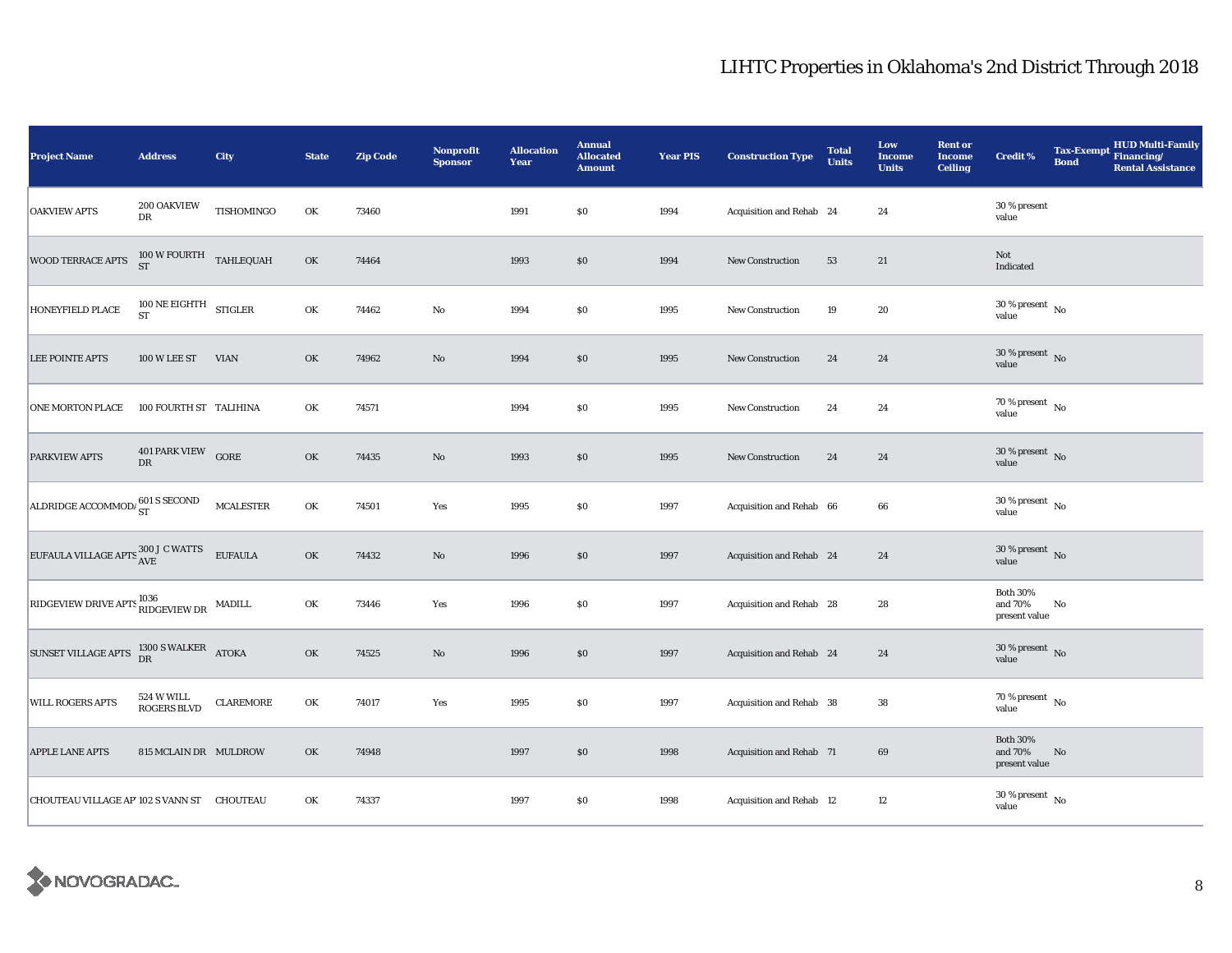| <b>Project Name</b>                                                                                      | <b>Address</b>                                  | City             | <b>State</b> | <b>Zip Code</b> | <b>Nonprofit</b><br><b>Sponsor</b> | <b>Allocation</b><br>Year | <b>Annual</b><br><b>Allocated</b><br><b>Amount</b> | <b>Year PIS</b> | <b>Construction Type</b> | <b>Total</b><br><b>Units</b> | Low<br><b>Income</b><br><b>Units</b> | <b>Rent or</b><br><b>Income</b><br><b>Ceiling</b> | <b>Credit %</b>                             | <b>Bond</b> | Tax-Exempt HUD Multi-Family<br><b>Rental Assistance</b> |
|----------------------------------------------------------------------------------------------------------|-------------------------------------------------|------------------|--------------|-----------------|------------------------------------|---------------------------|----------------------------------------------------|-----------------|--------------------------|------------------------------|--------------------------------------|---------------------------------------------------|---------------------------------------------|-------------|---------------------------------------------------------|
| <b>OAKVIEW APTS</b>                                                                                      | 200 OAKVIEW<br>${\rm DR}$                       | TISHOMINGO       | OK           | 73460           |                                    | 1991                      | \$0                                                | 1994            | Acquisition and Rehab 24 |                              | 24                                   |                                                   | 30 % present<br>value                       |             |                                                         |
| WOOD TERRACE APTS                                                                                        | $100\,\mathrm{W}\,\mathrm{FOURTH}$ TAHLEQUAH ST |                  | OK           | 74464           |                                    | 1993                      | $\$0$                                              | 1994            | <b>New Construction</b>  | 53                           | 21                                   |                                                   | Not<br>Indicated                            |             |                                                         |
| HONEYFIELD PLACE                                                                                         | $100$ NE EIGHTH $$\rm STIGLER$$                 |                  | OK           | 74462           | $\rm No$                           | 1994                      | $\$0$                                              | 1995            | <b>New Construction</b>  | 19                           | 20                                   |                                                   | $30\,\%$ present $_{\, \rm No}$<br>value    |             |                                                         |
| <b>LEE POINTE APTS</b>                                                                                   | 100 W LEE ST                                    | <b>VIAN</b>      | OK           | 74962           | $\rm No$                           | 1994                      | \$0                                                | 1995            | <b>New Construction</b>  | 24                           | 24                                   |                                                   | $30\,\%$ present $\,$ No value              |             |                                                         |
| ONE MORTON PLACE                                                                                         | 100 FOURTH ST TALIHINA                          |                  | OK           | 74571           |                                    | 1994                      | $\$0$                                              | 1995            | <b>New Construction</b>  | 24                           | 24                                   |                                                   | $70\,\%$ present $\,$ No value              |             |                                                         |
| PARKVIEW APTS                                                                                            | 401 PARK VIEW GORE<br>DR                        |                  | OK           | 74435           | $\rm No$                           | 1993                      | \$0                                                | 1995            | New Construction         | 24                           | 24                                   |                                                   | $30\%$ present No<br>value                  |             |                                                         |
| ALDRIDGE ACCOMMODA ST                                                                                    |                                                 | <b>MCALESTER</b> | OK           | 74501           | Yes                                | 1995                      | \$0                                                | 1997            | Acquisition and Rehab 66 |                              | 66                                   |                                                   | $30\,\%$ present $\,$ No $\,$<br>value      |             |                                                         |
| $\boxed{\text{EUFAULA VILLAGE APTS} \begin{matrix} 300 \text{ J C WATTS} & \text{EUFAULA} \end{matrix}}$ |                                                 |                  | OK           | 74432           | $\rm No$                           | 1996                      | $\$0$                                              | 1997            | Acquisition and Rehab 24 |                              | 24                                   |                                                   | $30\%$ present No<br>value                  |             |                                                         |
| RIDGEVIEW DRIVE APTS $^{1036}_{\rm RIDGEVIEW\, DR}$ MADILL                                               |                                                 |                  | OK           | 73446           | Yes                                | 1996                      | \$0                                                | 1997            | Acquisition and Rehab 28 |                              | 28                                   |                                                   | <b>Both 30%</b><br>and 70%<br>present value | No          |                                                         |
| SUNSET VILLAGE APTS $^{1300}_{DR}$ S WALKER ATOKA                                                        |                                                 |                  | OK           | 74525           | $\rm No$                           | 1996                      | $\$0$                                              | 1997            | Acquisition and Rehab 24 |                              | 24                                   |                                                   | $30\,\%$ present $\,$ No value              |             |                                                         |
| <b>WILL ROGERS APTS</b>                                                                                  | 524 W WILL<br><b>ROGERS BLVD</b>                | <b>CLAREMORE</b> | OK           | 74017           | Yes                                | 1995                      | \$0                                                | 1997            | Acquisition and Rehab 38 |                              | 38                                   |                                                   | 70 % present $\hbox{~No}$<br>value          |             |                                                         |
| <b>APPLE LANE APTS</b>                                                                                   | 815 MCLAIN DR MULDROW                           |                  | OK           | 74948           |                                    | 1997                      | \$0                                                | 1998            | Acquisition and Rehab 71 |                              | 69                                   |                                                   | <b>Both 30%</b><br>and 70%<br>present value | No          |                                                         |
| CHOUTEAU VILLAGE AP' 102 S VANN ST CHOUTEAU                                                              |                                                 |                  | OK           | 74337           |                                    | 1997                      | $\$0$                                              | 1998            | Acquisition and Rehab 12 |                              | 12                                   |                                                   | $30\,\%$ present $\,$ No value              |             |                                                         |

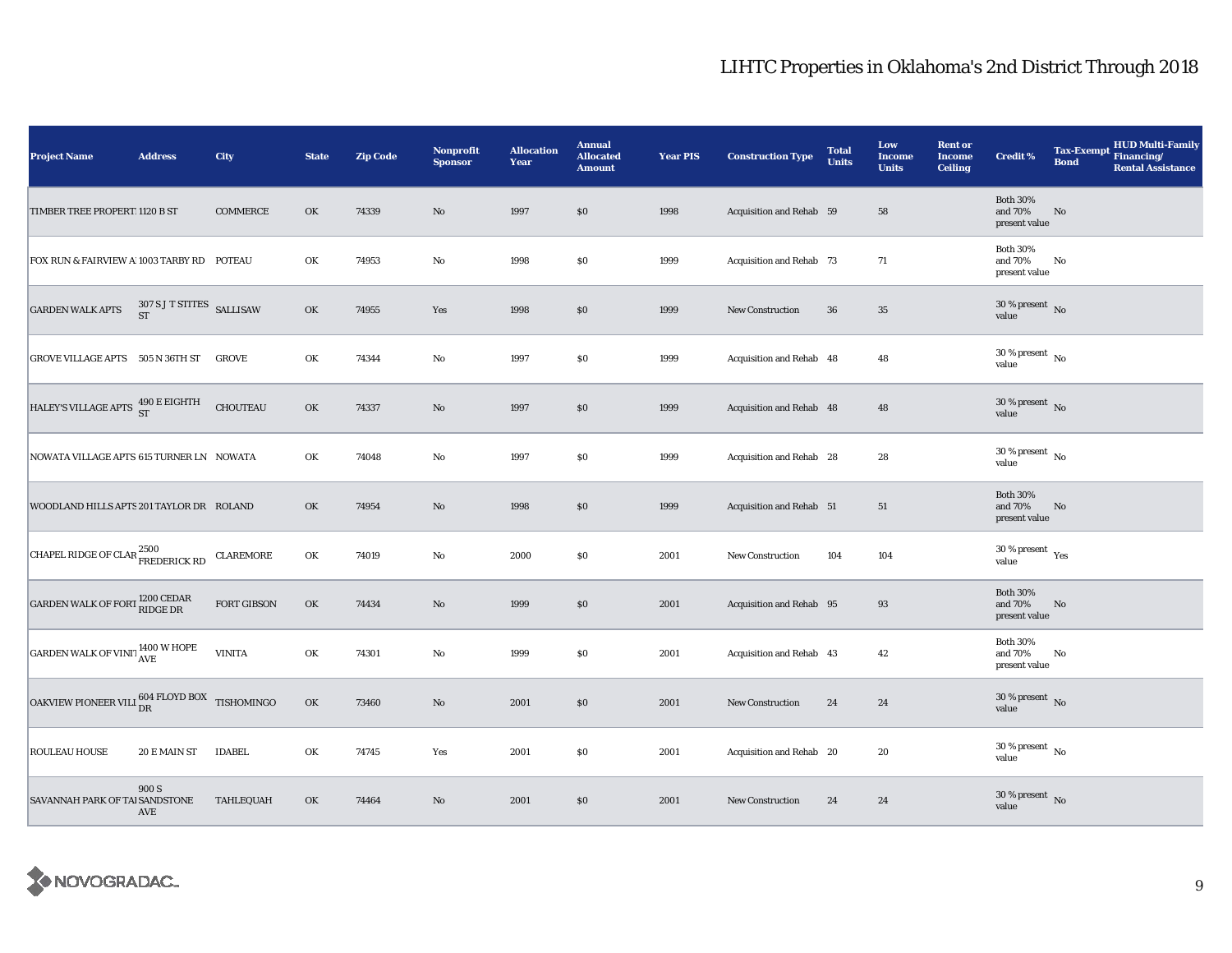| <b>Project Name</b>                                                                   | <b>Address</b>                      | City             | <b>State</b> | <b>Zip Code</b> | <b>Nonprofit</b><br><b>Sponsor</b> | <b>Allocation</b><br>Year | <b>Annual</b><br><b>Allocated</b><br><b>Amount</b> | <b>Year PIS</b> | <b>Construction Type</b> | <b>Total</b><br><b>Units</b> | Low<br><b>Income</b><br><b>Units</b> | <b>Rent or</b><br><b>Income</b><br><b>Ceiling</b> | <b>Credit %</b>                             | <b>Tax-Exempt</b><br><b>Bond</b> | <b>HUD Multi-Family</b><br>Financing/<br><b>Rental Assistance</b> |
|---------------------------------------------------------------------------------------|-------------------------------------|------------------|--------------|-----------------|------------------------------------|---------------------------|----------------------------------------------------|-----------------|--------------------------|------------------------------|--------------------------------------|---------------------------------------------------|---------------------------------------------|----------------------------------|-------------------------------------------------------------------|
| TIMBER TREE PROPERT 1120 B ST                                                         |                                     | <b>COMMERCE</b>  | OK           | 74339           | $\rm No$                           | 1997                      | \$0                                                | 1998            | Acquisition and Rehab 59 |                              | 58                                   |                                                   | <b>Both 30%</b><br>and 70%<br>present value | $\mathbf{No}$                    |                                                                   |
| FOX RUN & FAIRVIEW A 1003 TARBY RD POTEAU                                             |                                     |                  | OK           | 74953           | $\rm No$                           | 1998                      | \$0                                                | 1999            | Acquisition and Rehab 73 |                              | 71                                   |                                                   | <b>Both 30%</b><br>and 70%<br>present value | No                               |                                                                   |
| <b>GARDEN WALK APTS</b>                                                               | $307$ S J T STITES $$\rm SALLISAW$$ |                  | OK           | 74955           | Yes                                | 1998                      | \$0                                                | 1999            | <b>New Construction</b>  | 36                           | $35\,$                               |                                                   | $30\,\%$ present $\,$ No $\,$<br>value      |                                  |                                                                   |
| GROVE VILLAGE APTS 505 N 36TH ST                                                      |                                     | <b>GROVE</b>     | OK           | 74344           | No                                 | 1997                      | $\$0$                                              | 1999            | Acquisition and Rehab 48 |                              | 48                                   |                                                   | $30\,\%$ present $\,$ No $\,$<br>value      |                                  |                                                                   |
| HALEY'S VILLAGE APTS $\begin{array}{cc} 490\text{ E EIGHTH} \\ \text{ST} \end{array}$ |                                     | <b>CHOUTEAU</b>  | OK           | 74337           | $\rm No$                           | 1997                      | \$0                                                | 1999            | Acquisition and Rehab 48 |                              | 48                                   |                                                   | $30\,\%$ present $\,$ No value              |                                  |                                                                   |
| NOWATA VILLAGE APTS 615 TURNER LN NOWATA                                              |                                     |                  | OK           | 74048           | No                                 | 1997                      | \$0                                                | 1999            | Acquisition and Rehab 28 |                              | 28                                   |                                                   | $30$ % present $\hbox{~No}$<br>value        |                                  |                                                                   |
| WOODLAND HILLS APTS 201 TAYLOR DR ROLAND                                              |                                     |                  | OK           | 74954           | $\rm No$                           | 1998                      | \$0                                                | 1999            | Acquisition and Rehab 51 |                              | 51                                   |                                                   | <b>Both 30%</b><br>and 70%<br>present value | No                               |                                                                   |
| CHAPEL RIDGE OF CLAR <sup>2500</sup> FREDERICK RD                                     |                                     | <b>CLAREMORE</b> | OK           | 74019           | No                                 | 2000                      | \$0                                                | 2001            | New Construction         | 104                          | 104                                  |                                                   | $30$ % present $\,$ $\rm Yes$<br>value      |                                  |                                                                   |
| GARDEN WALK OF FORT 1200 CEDAR                                                        |                                     | FORT GIBSON      | OK           | 74434           | No                                 | 1999                      | \$0                                                | 2001            | Acquisition and Rehab 95 |                              | 93                                   |                                                   | <b>Both 30%</b><br>and 70%<br>present value | No                               |                                                                   |
| GARDEN WALK OF VINIT AVE                                                              |                                     | <b>VINITA</b>    | OK           | 74301           | No                                 | 1999                      | \$0                                                | 2001            | Acquisition and Rehab 43 |                              | 42                                   |                                                   | <b>Both 30%</b><br>and 70%<br>present value | No                               |                                                                   |
| OAKVIEW PIONEER VILI $_{\text{DR}}^{604\text{ FLOYD\,BOX}}$ TISHOMINGO                |                                     |                  | OK           | 73460           | No                                 | 2001                      | \$0                                                | 2001            | New Construction         | 24                           | 24                                   |                                                   | $30\,\%$ present $\,$ No $\,$<br>value      |                                  |                                                                   |
| ROULEAU HOUSE                                                                         | 20 E MAIN ST                        | <b>IDABEL</b>    | OK           | 74745           | Yes                                | 2001                      | \$0                                                | 2001            | Acquisition and Rehab 20 |                              | 20                                   |                                                   | $30$ % present $\,$ No $\,$<br>value        |                                  |                                                                   |
| SAVANNAH PARK OF TAI SANDSTONE                                                        | 900 S<br>AVE                        | TAHLEQUAH        | OK           | 74464           | No                                 | 2001                      | \$0                                                | 2001            | New Construction         | 24                           | 24                                   |                                                   | $30$ % present $\,$ No $\,$<br>value        |                                  |                                                                   |

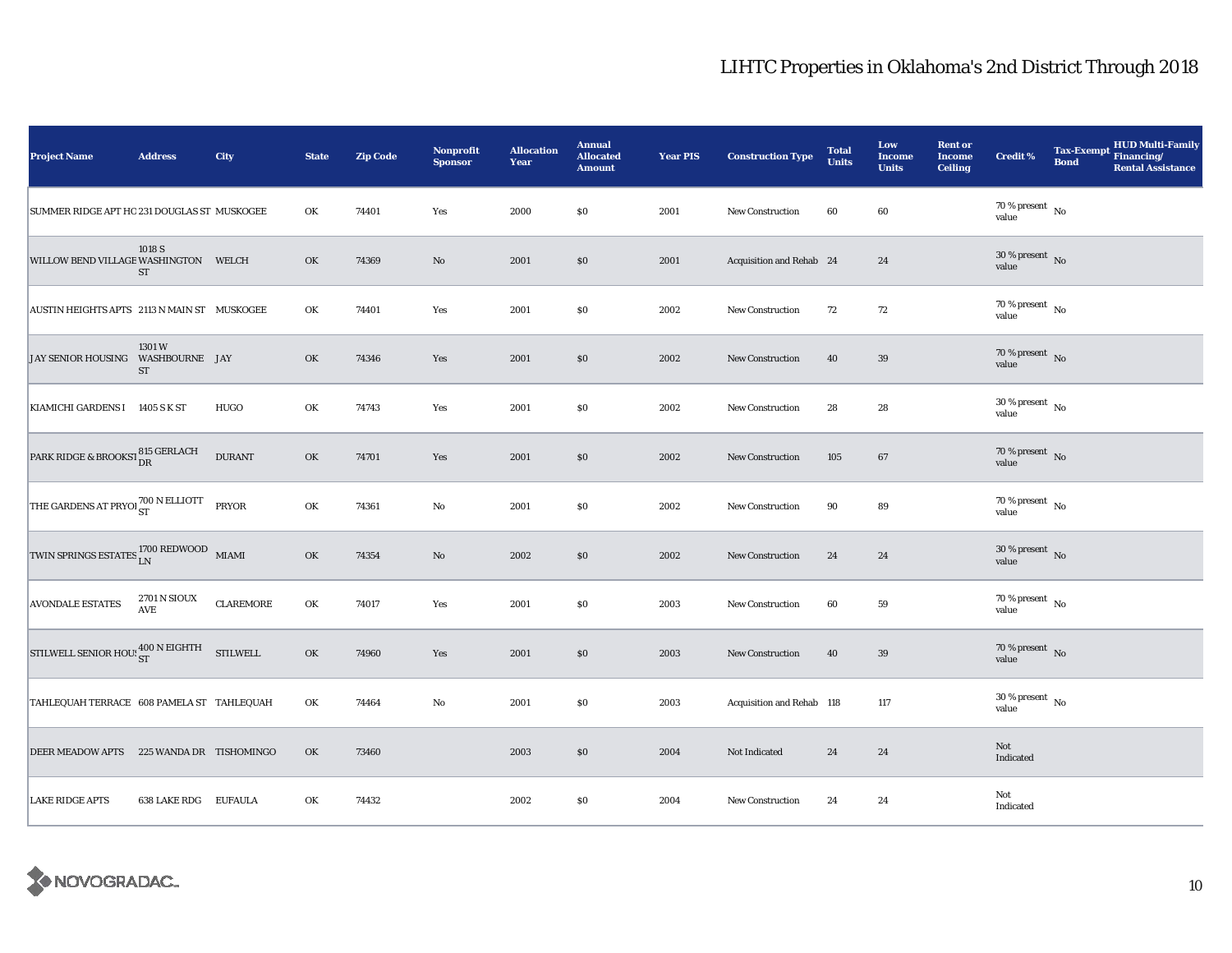| <b>Project Name</b>                                            | <b>Address</b>               | City          | <b>State</b> | <b>Zip Code</b> | <b>Nonprofit</b><br><b>Sponsor</b> | <b>Allocation</b><br>Year | <b>Annual</b><br><b>Allocated</b><br><b>Amount</b> | <b>Year PIS</b> | <b>Construction Type</b>  | <b>Total</b><br><b>Units</b> | Low<br><b>Income</b><br><b>Units</b> | <b>Rent or</b><br><b>Income</b><br><b>Ceiling</b> | <b>Credit %</b>                          | <b>Bond</b> | HUD Multi-Family<br>Tax-Exempt Financing/<br><b>Rental Assistance</b> |
|----------------------------------------------------------------|------------------------------|---------------|--------------|-----------------|------------------------------------|---------------------------|----------------------------------------------------|-----------------|---------------------------|------------------------------|--------------------------------------|---------------------------------------------------|------------------------------------------|-------------|-----------------------------------------------------------------------|
| SUMMER RIDGE APT HO 231 DOUGLAS ST MUSKOGEE                    |                              |               | OK           | 74401           | Yes                                | 2000                      | \$0                                                | 2001            | New Construction          | 60                           | 60                                   |                                                   | 70 % present $\hbox{~No}$<br>value       |             |                                                                       |
| WILLOW BEND VILLAGE WASHINGTON WELCH                           | 1018 S<br>ST                 |               | OK           | 74369           | $\rm No$                           | 2001                      | $\$0$                                              | 2001            | Acquisition and Rehab 24  |                              | 24                                   |                                                   | $30\,\%$ present $\,$ No value           |             |                                                                       |
| AUSTIN HEIGHTS APTS 2113 N MAIN ST MUSKOGEE                    |                              |               | OK           | 74401           | Yes                                | 2001                      | $\$0$                                              | 2002            | New Construction          | 72                           | 72                                   |                                                   | $70$ % present $_{\, \rm No}$<br>value   |             |                                                                       |
| JAY SENIOR HOUSING WASHBOURNE JAY                              | 1301W<br>ST                  |               | OK           | 74346           | Yes                                | 2001                      | \$0                                                | 2002            | <b>New Construction</b>   | 40                           | 39                                   |                                                   | 70 % present $\hbox{~No}$<br>value       |             |                                                                       |
| KIAMICHI GARDENS I 1405 S K ST                                 |                              | HUGO          | OK           | 74743           | Yes                                | 2001                      | $\$0$                                              | 2002            | New Construction          | 28                           | 28                                   |                                                   | $30\,\%$ present $\,$ No value           |             |                                                                       |
| PARK RIDGE & BROOKST 815 GERLACH                               |                              | <b>DURANT</b> | OK           | 74701           | Yes                                | 2001                      | \$0                                                | 2002            | New Construction          | 105                          | 67                                   |                                                   | $70\%$ present No<br>value               |             |                                                                       |
| THE GARDENS AT PRYOL 700 N ELLIOTT PRYOR                       |                              |               | OK           | 74361           | No                                 | 2001                      | \$0                                                | 2002            | <b>New Construction</b>   | 90                           | 89                                   |                                                   | 70 % present $\hbox{~No}$<br>value       |             |                                                                       |
| TWIN SPRINGS ESTATES $_{\rm LN}^{1700}$ REDWOOD $_{\rm~MIAMI}$ |                              |               | OK           | 74354           | $\rm No$                           | 2002                      | \$0                                                | 2002            | <b>New Construction</b>   | 24                           | 24                                   |                                                   | $30\,\%$ present $\,$ No value           |             |                                                                       |
| <b>AVONDALE ESTATES</b>                                        | $2701\,\mathrm{N}$ SIOUX AVE | CLAREMORE     | OK           | 74017           | Yes                                | 2001                      | \$0                                                | 2003            | <b>New Construction</b>   | 60                           | 59                                   |                                                   | $70$ % present $\,$ No $\,$<br>value     |             |                                                                       |
| STILWELL SENIOR HOU: $_{ST}^{400 \text{ N EIGHTH}}$ STILWELL   |                              |               | OK           | 74960           | Yes                                | 2001                      | \$0                                                | 2003            | <b>New Construction</b>   | 40                           | 39                                   |                                                   | $70\,\%$ present $\,$ No value           |             |                                                                       |
| TAHLEQUAH TERRACE 608 PAMELA ST TAHLEQUAH                      |                              |               | OK           | 74464           | No                                 | 2001                      | <b>SO</b>                                          | 2003            | Acquisition and Rehab 118 |                              | 117                                  |                                                   | $30\,\%$ present $_{\, \rm No}$<br>value |             |                                                                       |
| DEER MEADOW APTS 225 WANDA DR TISHOMINGO                       |                              |               | OK           | 73460           |                                    | 2003                      | \$0                                                | 2004            | Not Indicated             | 24                           | 24                                   |                                                   | Not<br>Indicated                         |             |                                                                       |
| <b>LAKE RIDGE APTS</b>                                         | 638 LAKE RDG EUFAULA         |               | OK           | 74432           |                                    | 2002                      | $\$0$                                              | 2004            | New Construction          | 24                           | 24                                   |                                                   | Not<br>Indicated                         |             |                                                                       |

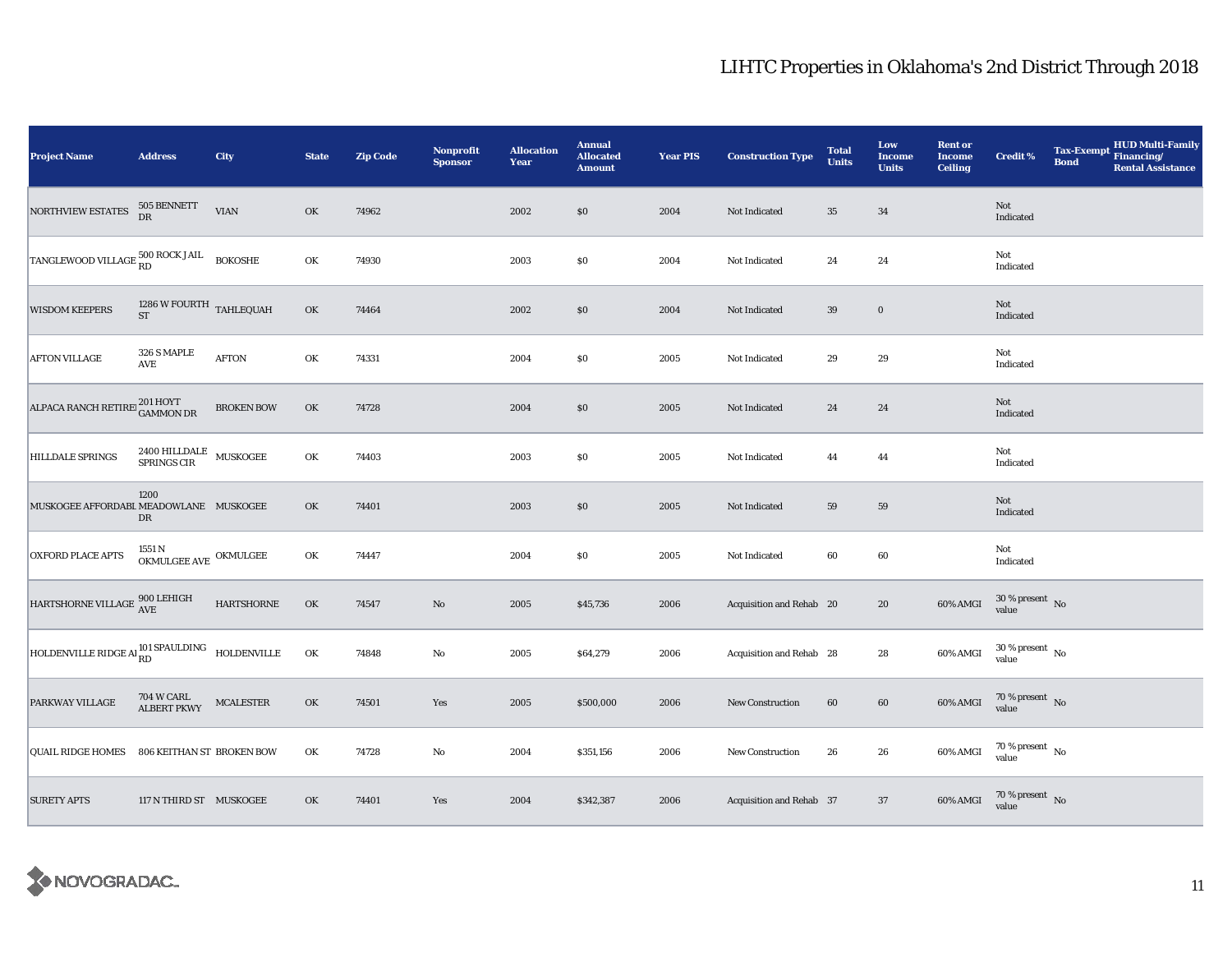| <b>Project Name</b>                                                                                    | <b>Address</b>                                   | City                   | <b>State</b> | <b>Zip Code</b> | <b>Nonprofit</b><br><b>Sponsor</b> | <b>Allocation</b><br>Year | <b>Annual</b><br><b>Allocated</b><br><b>Amount</b> | <b>Year PIS</b> | <b>Construction Type</b> | <b>Total</b><br><b>Units</b> | Low<br><b>Income</b><br><b>Units</b> | <b>Rent or</b><br><b>Income</b><br><b>Ceiling</b> | <b>Credit %</b>                | <b>Tax-Exempt</b><br><b>Bond</b> | <b>HUD Multi-Family</b><br>Financing/<br><b>Rental Assistance</b> |
|--------------------------------------------------------------------------------------------------------|--------------------------------------------------|------------------------|--------------|-----------------|------------------------------------|---------------------------|----------------------------------------------------|-----------------|--------------------------|------------------------------|--------------------------------------|---------------------------------------------------|--------------------------------|----------------------------------|-------------------------------------------------------------------|
| NORTHVIEW ESTATES                                                                                      | $505$ BENNETT DR                                 | <b>VIAN</b>            | OK           | 74962           |                                    | 2002                      | $\$0$                                              | 2004            | Not Indicated            | $35\,$                       | 34                                   |                                                   | Not<br>Indicated               |                                  |                                                                   |
| $\boxed{\text{TANGLEWOOD VILLAGE} \substack{\text{500 ROCK JAIL} \\ \text{RD}} \quad \text{BOKOSHE} }$ |                                                  |                        | OK           | 74930           |                                    | 2003                      | $\$0$                                              | 2004            | Not Indicated            | 24                           | 24                                   |                                                   | Not<br>Indicated               |                                  |                                                                   |
| <b>WISDOM KEEPERS</b>                                                                                  | $1286\,\mathrm{W}$ FOURTH TAHLEQUAH<br><b>ST</b> |                        | OK           | 74464           |                                    | 2002                      | \$0                                                | 2004            | Not Indicated            | 39                           | $\boldsymbol{0}$                     |                                                   | Not<br>Indicated               |                                  |                                                                   |
| <b>AFTON VILLAGE</b>                                                                                   | 326 S MAPLE<br>AVE                               | $\operatorname{AFTON}$ | OK           | 74331           |                                    | 2004                      | \$0                                                | 2005            | Not Indicated            | 29                           | 29                                   |                                                   | Not<br>Indicated               |                                  |                                                                   |
| ALPACA RANCH RETIRE <sup>201</sup> HOYT<br>GAMMON DR                                                   |                                                  | <b>BROKEN BOW</b>      | OK           | 74728           |                                    | 2004                      | $\$0$                                              | 2005            | Not Indicated            | 24                           | 24                                   |                                                   | Not<br>Indicated               |                                  |                                                                   |
| <b>HILLDALE SPRINGS</b>                                                                                | $2400$ HILLDALE $\,$ MUSKOGEE SPRINGS CIR $\,$   |                        | OK           | 74403           |                                    | 2003                      | \$0                                                | 2005            | Not Indicated            | 44                           | 44                                   |                                                   | Not<br>Indicated               |                                  |                                                                   |
| MUSKOGEE AFFORDABL MEADOWLANE MUSKOGEE                                                                 | 1200<br>DR                                       |                        | OK           | 74401           |                                    | 2003                      | $\$0$                                              | 2005            | Not Indicated            | 59                           | 59                                   |                                                   | Not<br>Indicated               |                                  |                                                                   |
| <b>OXFORD PLACE APTS</b>                                                                               | $1551\,\mathrm{N}$ OKMULGEE AVE OKMULGEE         |                        | OK           | 74447           |                                    | 2004                      | $\$0$                                              | 2005            | Not Indicated            | 60                           | 60                                   |                                                   | Not<br>Indicated               |                                  |                                                                   |
| HARTSHORNE VILLAGE $^{900\, \rm LEHIGH}_{\rm AVE}$                                                     |                                                  | $\mbox{HARTSHORNE}$    | OK           | 74547           | $\rm No$                           | 2005                      | \$45,736                                           | 2006            | Acquisition and Rehab 20 |                              | 20                                   | 60% AMGI                                          | $30\,\%$ present $\,$ No value |                                  |                                                                   |
| HOLDENVILLE RIDGE AI RD<br>RD<br>RD<br>HOLDENVILLE                                                     |                                                  |                        | OK           | 74848           | $\rm No$                           | 2005                      | \$64,279                                           | 2006            | Acquisition and Rehab 28 |                              | $\bf 28$                             | 60% AMGI                                          | $30\,\%$ present $\,$ No value |                                  |                                                                   |
| PARKWAY VILLAGE                                                                                        | 704 W CARL<br><b>ALBERT PKWY</b>                 | <b>MCALESTER</b>       | OK           | 74501           | Yes                                | 2005                      | \$500,000                                          | 2006            | <b>New Construction</b>  | 60                           | 60                                   | 60% AMGI                                          | $70\,\%$ present $\,$ No value |                                  |                                                                   |
| <b>QUAIL RIDGE HOMES</b>                                                                               | 806 KEITHAN ST BROKEN BOW                        |                        | OK           | 74728           | $\rm No$                           | 2004                      | \$351,156                                          | 2006            | New Construction         | 26                           | ${\bf 26}$                           | 60% AMGI                                          | $70\,\%$ present $\,$ No value |                                  |                                                                   |
| <b>SURETY APTS</b>                                                                                     | 117 N THIRD ST MUSKOGEE                          |                        | OK           | 74401           | Yes                                | 2004                      | \$342,387                                          | 2006            | Acquisition and Rehab 37 |                              | 37                                   | 60% AMGI                                          | $70\,\%$ present $\;$ No value |                                  |                                                                   |